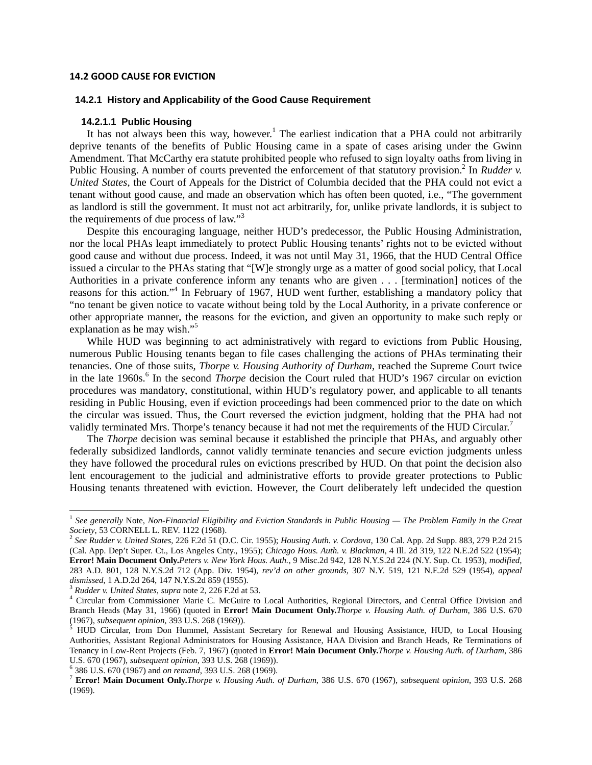#### **14.2 GOOD CAUSE FOR EVICTION**

#### **14.2.1 History and Applicability of the Good Cause Requirement**

#### **14.2.1.1 Public Housing**

It has not always been this way, however.<sup>1</sup> The earliest indication that a PHA could not arbitrarily deprive tenants of the benefits of Public Housing came in a spate of cases arising under the Gwinn Amendment. That McCarthy era statute prohibited people who refused to sign loyalty oaths from living in Public Housing. A number of courts prevented the enforcement of that statutory provision.<sup>2</sup> In *Rudder v. United States*, the Court of Appeals for the District of Columbia decided that the PHA could not evict a tenant without good cause, and made an observation which has often been quoted, i.e., "The government as landlord is still the government. It must not act arbitrarily, for, unlike private landlords, it is subject to the requirements of due process of law."<sup>3</sup>

 Despite this encouraging language, neither HUD's predecessor, the Public Housing Administration, nor the local PHAs leapt immediately to protect Public Housing tenants' rights not to be evicted without good cause and without due process. Indeed, it was not until May 31, 1966, that the HUD Central Office issued a circular to the PHAs stating that "[W]e strongly urge as a matter of good social policy, that Local Authorities in a private conference inform any tenants who are given . . . [termination] notices of the reasons for this action."<sup>4</sup> In February of 1967, HUD went further, establishing a mandatory policy that "no tenant be given notice to vacate without being told by the Local Authority, in a private conference or other appropriate manner, the reasons for the eviction, and given an opportunity to make such reply or explanation as he may wish."<sup>5</sup>

 While HUD was beginning to act administratively with regard to evictions from Public Housing, numerous Public Housing tenants began to file cases challenging the actions of PHAs terminating their tenancies. One of those suits, *Thorpe v. Housing Authority of Durham*, reached the Supreme Court twice in the late 1960s.<sup>6</sup> In the second *Thorpe* decision the Court ruled that HUD's 1967 circular on eviction procedures was mandatory, constitutional, within HUD's regulatory power, and applicable to all tenants residing in Public Housing, even if eviction proceedings had been commenced prior to the date on which the circular was issued. Thus, the Court reversed the eviction judgment, holding that the PHA had not validly terminated Mrs. Thorpe's tenancy because it had not met the requirements of the HUD Circular.<sup>7</sup>

 The *Thorpe* decision was seminal because it established the principle that PHAs, and arguably other federally subsidized landlords, cannot validly terminate tenancies and secure eviction judgments unless they have followed the procedural rules on evictions prescribed by HUD. On that point the decision also lent encouragement to the judicial and administrative efforts to provide greater protections to Public Housing tenants threatened with eviction. However, the Court deliberately left undecided the question

<sup>1</sup> *See generally* Note, *Non-Financial Eligibility and Eviction Standards in Public Housing — The Problem Family in the Great Society*, 53 CORNELL L. REV. 1122 (1968). 2 *See Rudder v. United States*, 226 F.2d 51 (D.C. Cir. 1955); *Housing Auth. v. Cordova*, 130 Cal. App. 2d Supp. 883, 279 P.2d 215

<sup>(</sup>Cal. App. Dep't Super. Ct., Los Angeles Cnty., 1955); *Chicago Hous. Auth. v. Blackman*, 4 Ill. 2d 319, 122 N.E.2d 522 (1954); **Error! Main Document Only.***Peters v. New York Hous. Auth.*, 9 Misc.2d 942, 128 N.Y.S.2d 224 (N.Y. Sup. Ct. 1953), *modified*, 283 A.D. 801, 128 N.Y.S.2d 712 (App. Div. 1954), *rev'd on other grounds*, 307 N.Y. 519, 121 N.E.2d 529 (1954), *appeal dismissed*, 1 A.D.2d 264, 147 N.Y.S.2d 859 (1955). 3 *Rudder v. United States*, *supra* note 2, 226 F.2d at 53. 4

<sup>&</sup>lt;sup>4</sup> Circular from Commissioner Marie C. McGuire to Local Authorities, Regional Directors, and Central Office Division and Branch Heads (May 31, 1966) (quoted in **Error! Main Document Only.***Thorpe v. Housing Auth. of Durham*, 386 U.S. 670 (1967), *subsequent opinion*, 393 U.S. 268 (1969)).

 $<sup>5</sup>$  HUD Circular, from Don Hummel, Assistant Secretary for Renewal and Housing Assistance, HUD, to Local Housing</sup> Authorities, Assistant Regional Administrators for Housing Assistance, HAA Division and Branch Heads, Re Terminations of Tenancy in Low-Rent Projects (Feb. 7, 1967) (quoted in **Error! Main Document Only.***Thorpe v. Housing Auth. of Durham*, 386 U.S. 670 (1967), *subsequent opinion*, 393 U.S. 268 (1969)). 6

 <sup>386</sup> U.S. 670 (1967) and *on remand*, 393 U.S. 268 (1969). 7 **Error! Main Document Only.***Thorpe v. Housing Auth. of Durham*, 386 U.S. 670 (1967), *subsequent opinion*, 393 U.S. 268 (1969).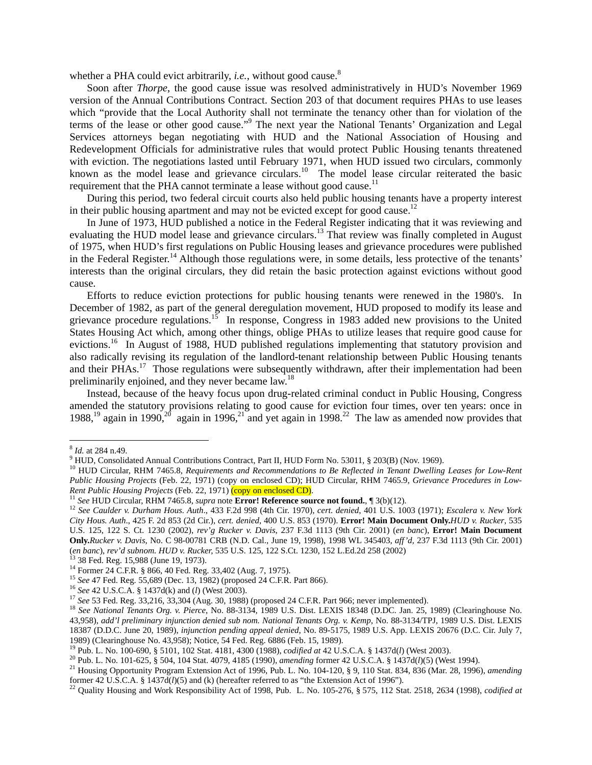whether a PHA could evict arbitrarily, *i.e.*, without good cause.<sup>8</sup>

 Soon after *Thorpe*, the good cause issue was resolved administratively in HUD's November 1969 version of the Annual Contributions Contract. Section 203 of that document requires PHAs to use leases which "provide that the Local Authority shall not terminate the tenancy other than for violation of the terms of the lease or other good cause."<sup>9</sup> The next year the National Tenants' Organization and Legal Services attorneys began negotiating with HUD and the National Association of Housing and Redevelopment Officials for administrative rules that would protect Public Housing tenants threatened with eviction. The negotiations lasted until February 1971, when HUD issued two circulars, commonly known as the model lease and grievance circulars.<sup>10</sup> The model lease circular reiterated the basic requirement that the PHA cannot terminate a lease without good cause.<sup>11</sup>

 During this period, two federal circuit courts also held public housing tenants have a property interest in their public housing apartment and may not be evicted except for good cause.<sup>12</sup>

 In June of 1973, HUD published a notice in the Federal Register indicating that it was reviewing and evaluating the HUD model lease and grievance circulars.<sup>13</sup> That review was finally completed in August of 1975, when HUD's first regulations on Public Housing leases and grievance procedures were published in the Federal Register.<sup>14</sup> Although those regulations were, in some details, less protective of the tenants' interests than the original circulars, they did retain the basic protection against evictions without good cause.

Efforts to reduce eviction protections for public housing tenants were renewed in the 1980's. In December of 1982, as part of the general deregulation movement, HUD proposed to modify its lease and grievance procedure regulations.<sup>15</sup> In response, Congress in 1983 added new provisions to the United States Housing Act which, among other things, oblige PHAs to utilize leases that require good cause for evictions.<sup>16</sup> In August of 1988, HUD published regulations implementing that statutory provision and also radically revising its regulation of the landlord-tenant relationship between Public Housing tenants and their PHAs.<sup>17</sup> Those regulations were subsequently withdrawn, after their implementation had been preliminarily enjoined, and they never became law.<sup>18</sup>

 Instead, because of the heavy focus upon drug-related criminal conduct in Public Housing, Congress amended the statutory provisions relating to good cause for eviction four times, over ten years: once in 1988,<sup>19</sup> again in 1990,<sup>20</sup> again in 1996,<sup>21</sup> and yet again in 1998.<sup>22</sup> The law as amended now provides that

 $\frac{8}{1}$  *Id.* at 284 n.49.<br> $\frac{9}{1}$  HUD, Consolidated Annual Contributions Contract, Part II, HUD Form No. 53011, § 203(B) (Nov. 1969).

<sup>&</sup>lt;sup>10</sup> HUD Circular, RHM 7465.8, Requirements and Recommendations to Be Reflected in Tenant Dwelling Leases for Low-Rent *Public Housing Projects* (Feb. 22, 1971) (copy on enclosed CD); HUD Circular, RHM 7465.9, *Grievance Procedures in Low-*<br>*Rent Public Housing Projects* (Feb. 22, 1971) (copy on enclosed CD).

<sup>&</sup>lt;sup>11</sup> See HUD Circular, RHM 7465.8, supra note **Error! Reference source not found.**,  $\P 3(b)(12)$ .<br><sup>12</sup> See Caulder v. Durham Hous. Auth., 433 F.2d 998 (4th Cir. 1970), cert. denied, 401 U.S. 1003 (1971); *Escalera v. New Y City Hous. Auth*., 425 F. 2d 853 (2d Cir.), *cert. denied*, 400 U.S. 853 (1970). **Error! Main Document Only.***HUD v. Rucker*, 535 U.S. 125, 122 S. Ct. 1230 (2002), *rev'g Rucker v. Davis*, 237 F.3d 1113 (9th Cir. 2001) (*en banc*), **Error! Main Document Only.***Rucker v. Davis*, No. C 98-00781 CRB (N.D. Cal., June 19, 1998), 1998 WL 345403*, aff'd,* 237 F.3d 1113 (9th Cir. 2001) (*en banc*), *rev'd subnom. HUD v. Rucker,* 535 U.S. 125, 122 S.Ct. 1230, 152 L.Ed.2d 258 (2002) 13 38 Fed. Reg. 15,988 (June 19, 1973).

<sup>&</sup>lt;sup>14</sup> Former 24 C.F.R. § 866, 40 Fed. Reg. 33,402 (Aug. 7, 1975).<br><sup>15</sup> See 47 Fed. Reg. 55,689 (Dec. 13, 1982) (proposed 24 C.F.R. Part 866).

<sup>&</sup>lt;sup>16</sup> See 42 U.S.C.A. § 1437d(k) and (l) (West 2003).<br><sup>17</sup> See 53 Fed. Reg. 33,216, 33,304 (Aug. 30, 1988) (proposed 24 C.F.R. Part 966; never implemented).<br><sup>18</sup> See National Tenants Org. v. Pierce, No. 88-3134, 1989 U.S. 43,958), *add'l preliminary injunction denied sub nom. National Tenants Org. v. Kemp*, No. 88-3134/TPJ, 1989 U.S. Dist. LEXIS 18387 (D.D.C. June 20, 1989), *injunction pending appeal denied*, No. 89-5175, 1989 U.S. App. LEXIS 20676 (D.C. Cir. July 7, 1989) (Clearinghouse No. 43,958); Notice, 54 Fed. Reg. 6886 (Feb. 15, 1989).<br><sup>19</sup> Pub. L. No. 100-690, § 5101, 102 Stat. 4181, 4300 (1988), *codified at* 42 U.S.C.A. § 1437d(*l*) (West 2003).<br><sup>20</sup> Pub. L. No. 101-625, § 50

former 42 U.S.C.A. § 1437d( $l$ )(5) and (k) (hereafter referred to as "the Extension Act of 1996").<br><sup>22</sup> Quality Housing and Work Responsibility Act of 1998, Pub. L. No. 105-276, § 575, 112 Stat. 2518, 2634 (1998), *codifi*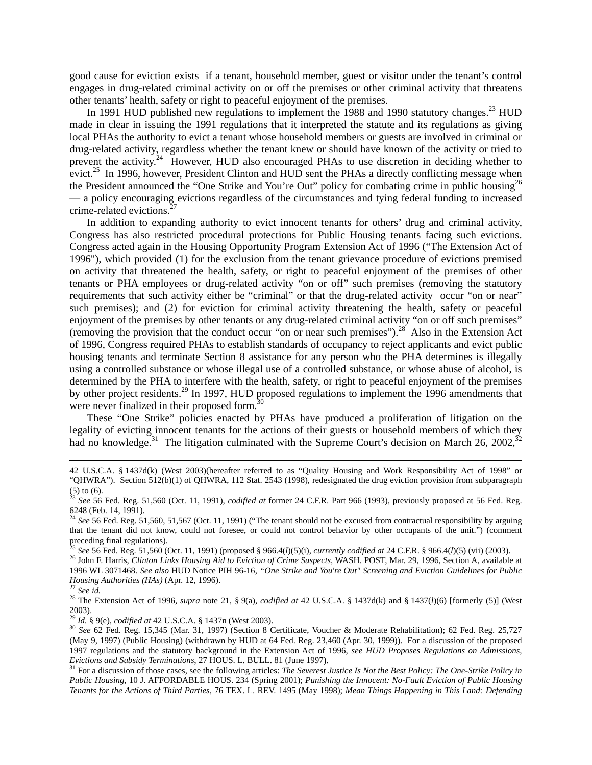good cause for eviction exists if a tenant, household member, guest or visitor under the tenant's control engages in drug-related criminal activity on or off the premises or other criminal activity that threatens other tenants' health, safety or right to peaceful enjoyment of the premises.

In 1991 HUD published new regulations to implement the 1988 and 1990 statutory changes.<sup>23</sup> HUD made in clear in issuing the 1991 regulations that it interpreted the statute and its regulations as giving local PHAs the authority to evict a tenant whose household members or guests are involved in criminal or drug-related activity, regardless whether the tenant knew or should have known of the activity or tried to prevent the activity.<sup>24</sup> However, HUD also encouraged PHAs to use discretion in deciding whether to evict.<sup>25</sup> In 1996, however, President Clinton and HUD sent the PHAs a directly conflicting message when the President announced the "One Strike and You're Out" policy for combating crime in public housing<sup>26</sup> — a policy encouraging evictions regardless of the circumstances and tying federal funding to increased crime-related evictions.<sup>2</sup>

In addition to expanding authority to evict innocent tenants for others' drug and criminal activity, Congress has also restricted procedural protections for Public Housing tenants facing such evictions. Congress acted again in the Housing Opportunity Program Extension Act of 1996 ("The Extension Act of 1996"), which provided (1) for the exclusion from the tenant grievance procedure of evictions premised on activity that threatened the health, safety, or right to peaceful enjoyment of the premises of other tenants or PHA employees or drug-related activity "on or off" such premises (removing the statutory requirements that such activity either be "criminal" or that the drug-related activity occur "on or near" such premises); and (2) for eviction for criminal activity threatening the health, safety or peaceful enjoyment of the premises by other tenants or any drug-related criminal activity "on or off such premises" (removing the provision that the conduct occur "on or near such premises").28 Also in the Extension Act of 1996, Congress required PHAs to establish standards of occupancy to reject applicants and evict public housing tenants and terminate Section 8 assistance for any person who the PHA determines is illegally using a controlled substance or whose illegal use of a controlled substance, or whose abuse of alcohol, is determined by the PHA to interfere with the health, safety, or right to peaceful enjoyment of the premises by other project residents.<sup>29</sup> In 1997, HUD proposed regulations to implement the 1996 amendments that were never finalized in their proposed form.<sup>3</sup>

 These "One Strike" policies enacted by PHAs have produced a proliferation of litigation on the legality of evicting innocent tenants for the actions of their guests or household members of which they had no knowledge.<sup>31</sup> The litigation culminated with the Supreme Court's decision on March 26, 2002,<sup>32</sup>

<u> 1989 - Johann Stein, marwolaethau a gweledydd a ganlad y ganlad y ganlad y ganlad y ganlad y ganlad y ganlad</u>

<sup>42</sup> U.S.C.A. § 1437d(k) (West 2003)(hereafter referred to as "Quality Housing and Work Responsibility Act of 1998" or "QHWRA"). Section 512(b)(1) of QHWRA, 112 Stat. 2543 (1998), redesignated the drug eviction provision from subparagraph (5) to (6).

<sup>23</sup> *See* 56 Fed. Reg. 51,560 (Oct. 11, 1991), *codified at* former 24 C.F.R. Part 966 (1993), previously proposed at 56 Fed. Reg. 6248 (Feb. 14, 1991).

<sup>&</sup>lt;sup>24</sup> See 56 Fed. Reg. 51,560, 51,567 (Oct. 11, 1991) ("The tenant should not be excused from contractual responsibility by arguing that the tenant did not know, could not foresee, or could not control behavior by other occupants of the unit.") (comment preceding final regulations).<br>
<sup>25</sup> See 56 Fed. Reg. 51,560 (Oct. 11, 1991) (proposed § 966.4(*l*)(5)(i), *currently codified at* 24 C.F.R. § 966.4(*l*)(5) (vii) (2003).

<sup>&</sup>lt;sup>26</sup> John F. Harris, *Clinton Links Housing Aid to Eviction of Crime Suspects*, WASH. POST, Mar. 29, 1996, Section A, available at 1996 WL 3071468. *See also* HUD Notice PIH 96-16, *"One Strike and You're Out" Screening and Eviction Guidelines for Public Housing Authorities (HAs)* (Apr. 12, 1996).<br><sup>27</sup> *See id.* 28 The Extension Act of 1996, *supra* note 21, § 9(a), *codified at* 42 U.S.C.A. § 1437d(k) and § 1437(*l*)(6) [formerly (5)] (West

<sup>2003).&</sup>lt;br><sup>29</sup> Id. § 9(e), *codified at* 42 U.S.C.A. § 1437n (West 2003).

<sup>&</sup>lt;sup>30</sup> See 62 Fed. Reg. 15,345 (Mar. 31, 1997) (Section 8 Certificate, Voucher & Moderate Rehabilitation); 62 Fed. Reg. 25,727 (May 9, 1997) (Public Housing) (withdrawn by HUD at 64 Fed. Reg. 23,460 (Apr. 30, 1999)). For a discussion of the proposed 1997 regulations and the statutory background in the Extension Act of 1996, *see HUD Proposes Regulations on Admissions, Evictions and Subsidy Terminations*, 27 HOUS. L. BULL. 81 (June 1997). <sup>31</sup> For a discussion of those cases, see the following articles: *The Severest Justice Is Not the Best Policy: The One-Strike Policy in* 

*Public Housing*, 10 J. AFFORDABLE HOUS. 234 (Spring 2001); *Punishing the Innocent: No-Fault Eviction of Public Housing Tenants for the Actions of Third Parties*, 76 TEX. L. REV. 1495 (May 1998); *Mean Things Happening in This Land: Defending*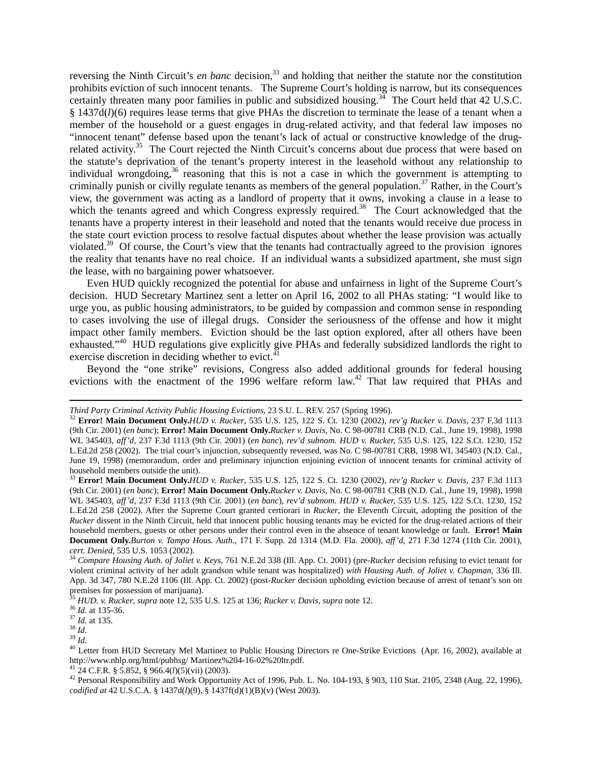reversing the Ninth Circuit's *en banc* decision,<sup>33</sup> and holding that neither the statute nor the constitution prohibits eviction of such innocent tenants. The Supreme Court's holding is narrow, but its consequences certainly threaten many poor families in public and subsidized housing.<sup>34</sup> The Court held that  $42$  U.S.C. § 1437d(*l*)(6) requires lease terms that give PHAs the discretion to terminate the lease of a tenant when a member of the household or a guest engages in drug-related activity, and that federal law imposes no "innocent tenant" defense based upon the tenant's lack of actual or constructive knowledge of the drugrelated activity.<sup>35</sup> The Court rejected the Ninth Circuit's concerns about due process that were based on the statute's deprivation of the tenant's property interest in the leasehold without any relationship to individual wrongdoing,<sup>36</sup> reasoning that this is not a case in which the government is attempting to criminally punish or civilly regulate tenants as members of the general population.<sup>37</sup> Rather, in the Court's view, the government was acting as a landlord of property that it owns, invoking a clause in a lease to which the tenants agreed and which Congress expressly required.<sup>38</sup> The Court acknowledged that the tenants have a property interest in their leasehold and noted that the tenants would receive due process in the state court eviction process to resolve factual disputes about whether the lease provision was actually violated.39 Of course, the Court's view that the tenants had contractually agreed to the provision ignores the reality that tenants have no real choice. If an individual wants a subsidized apartment, she must sign the lease, with no bargaining power whatsoever.

Even HUD quickly recognized the potential for abuse and unfairness in light of the Supreme Court's decision. HUD Secretary Martinez sent a letter on April 16, 2002 to all PHAs stating: "I would like to urge you, as public housing administrators, to be guided by compassion and common sense in responding to cases involving the use of illegal drugs. Consider the seriousness of the offense and how it might impact other family members. Eviction should be the last option explored, after all others have been exhausted."40 HUD regulations give explicitly give PHAs and federally subsidized landlords the right to exercise discretion in deciding whether to evict. $4\overline{1}$ 

 Beyond the "one strike" revisions, Congress also added additional grounds for federal housing evictions with the enactment of the 1996 welfare reform law.<sup>42</sup> That law required that PHAs and

<u> 1989 - Johann Stein, marwolaethau a gweledydd a ganlad y ganlad y ganlad y ganlad y ganlad y ganlad y ganlad</u>

Third Party Criminal Activity Public Housing Evictions, 23 S.U. L. REV. 257 (Spring 1996).<br><sup>32</sup> Error! Main Document Only.HUD v. Rucker, 535 U.S. 125, 122 S. Ct. 1230 (2002), rev'g Rucker v. Davis, 237 F.3d 1113 (9th Cir. 2001) (*en banc*); **Error! Main Document Only.***Rucker v. Davis*, No. C 98-00781 CRB (N.D. Cal., June 19, 1998), 1998 WL 345403*, aff'd,* 237 F.3d 1113 (9th Cir. 2001) (*en banc*), *rev'd subnom. HUD v. Rucker,* 535 U.S. 125, 122 S.Ct. 1230, 152 L.Ed.2d 258 (2002). The trial court's injunction, subsequently reversed, was No. C 98-00781 CRB, 1998 WL 345403 (N.D. Cal., June 19, 1998) (memorandum, order and preliminary injunction enjoining eviction of innocent tenants for criminal activity of household members outside the unit).

<sup>33</sup> **Error! Main Document Only.***HUD v. Rucker*, 535 U.S. 125, 122 S. Ct. 1230 (2002), *rev'g Rucker v. Davis*, 237 F.3d 1113 (9th Cir. 2001) (*en banc*); **Error! Main Document Only.***Rucker v. Davis*, No. C 98-00781 CRB (N.D. Cal., June 19, 1998), 1998 WL 345403*, aff'd,* 237 F.3d 1113 (9th Cir. 2001) (*en banc*), *rev'd subnom. HUD v. Rucker,* 535 U.S. 125, 122 S.Ct. 1230, 152 L.Ed.2d 258 (2002). After the Supreme Court granted certiorari in *Rucker*, the Eleventh Circuit, adopting the position of the *Rucker* dissent in the Ninth Circuit, held that innocent public housing tenants may be evicted for the drug-related actions of their household members, guests or other persons under their control even in the absence of tenant knowledge or fault. **Error! Main Document Only.***Burton v. Tampa Hous. Auth.*, 171 F. Supp. 2d 1314 (M.D. Fla. 2000), *aff'd*, 271 F.3d 1274 (11th Cir. 2001),

<sup>&</sup>lt;sup>34</sup> Compare Housing Auth. of Joliet v. Keys, 761 N.E.2d 338 (Ill. App. Ct. 2001) (pre-Rucker decision refusing to evict tenant for violent criminal activity of her adult grandson while tenant was hospitalized) *with Housing Auth. of Joliet v. Chapman*, 336 Ill. App. 3d 347, 780 N.E.2d 1106 (Ill. App. Ct. 2002) (post-*Rucker* decision upholding eviction because of arrest of tenant's son on premises for possession of marijuana).<br><sup>35</sup> HUD. v. Rucker, supra note 12, 535 U.S. 125 at 136; Rucker v. Davis, supra note 12.

<sup>&</sup>lt;sup>36</sup> *Id.* at 135-36.<br>
<sup>37</sup> *Id.* at 135-36.<br>
<sup>39</sup> *Id.*<br>
<sup>40</sup> Letter from HUD Secretary Mel Martinez to Public Housing Directors re One-Strike Evictions (Apr. 16, 2002), available at<br>
<sup>40</sup> Letter from HUD Secretary Mel M

<sup>&</sup>lt;sup>42</sup> Personal Responsibility and Work Opportunity Act of 1996, Pub. L. No. 104-193, § 903, 110 Stat. 2105, 2348 (Aug. 22, 1996), *codified at* 42 U.S.C.A. § 1437d(*l*)(9), § 1437f(d)(1)(B)(v) (West 2003).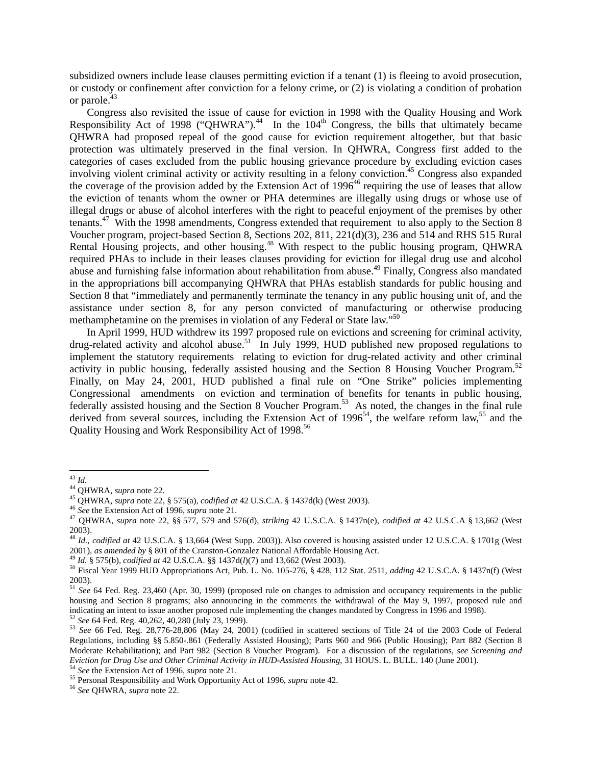subsidized owners include lease clauses permitting eviction if a tenant (1) is fleeing to avoid prosecution, or custody or confinement after conviction for a felony crime, or (2) is violating a condition of probation or parole.<sup>43</sup>

Congress also revisited the issue of cause for eviction in 1998 with the Quality Housing and Work Responsibility Act of 1998 ("QHWRA").<sup>44</sup> In the 104<sup>th</sup> Congress, the bills that ultimately became QHWRA had proposed repeal of the good cause for eviction requirement altogether, but that basic protection was ultimately preserved in the final version. In QHWRA, Congress first added to the categories of cases excluded from the public housing grievance procedure by excluding eviction cases involving violent criminal activity or activity resulting in a felony conviction.<sup>45</sup> Congress also expanded the coverage of the provision added by the Extension Act of  $1996<sup>46</sup>$  requiring the use of leases that allow the eviction of tenants whom the owner or PHA determines are illegally using drugs or whose use of illegal drugs or abuse of alcohol interferes with the right to peaceful enjoyment of the premises by other tenants.<sup>47</sup> With the 1998 amendments, Congress extended that requirement to also apply to the Section 8 Voucher program, project-based Section 8, Sections 202, 811, 221(d)(3), 236 and 514 and RHS 515 Rural Rental Housing projects, and other housing.<sup>48</sup> With respect to the public housing program, QHWRA required PHAs to include in their leases clauses providing for eviction for illegal drug use and alcohol abuse and furnishing false information about rehabilitation from abuse.<sup>49</sup> Finally, Congress also mandated in the appropriations bill accompanying QHWRA that PHAs establish standards for public housing and Section 8 that "immediately and permanently terminate the tenancy in any public housing unit of, and the assistance under section 8, for any person convicted of manufacturing or otherwise producing methamphetamine on the premises in violation of any Federal or State law."50

In April 1999, HUD withdrew its 1997 proposed rule on evictions and screening for criminal activity, drug-related activity and alcohol abuse.<sup>51</sup> In July 1999, HUD published new proposed regulations to implement the statutory requirements relating to eviction for drug-related activity and other criminal activity in public housing, federally assisted housing and the Section 8 Housing Voucher Program.<sup>52</sup> Finally, on May 24, 2001, HUD published a final rule on "One Strike" policies implementing Congressional amendments on eviction and termination of benefits for tenants in public housing, federally assisted housing and the Section 8 Voucher Program.<sup>53</sup> As noted, the changes in the final rule derived from several sources, including the Extension Act of  $1996<sup>54</sup>$ , the welfare reform law,<sup>55</sup> and the Quality Housing and Work Responsibility Act of 1998.<sup>56</sup>

<sup>&</sup>lt;sup>43</sup> Id.<br><sup>44</sup> QHWRA, *supra* note 22.<br><sup>45</sup> QHWRA, *supra* note 22, § 575(a), *codified at* 42 U.S.C.A. § 1437d(k) (West 2003).<br><sup>46</sup> See the Extension Act of 1996, *supra* note 21.<br><sup>47</sup> OHWRA, *supra* note 22, §§ 577, 579 2003).

<sup>48</sup> *Id.*, *codified at* 42 U.S.C.A. § 13,664 (West Supp. 2003)). Also covered is housing assisted under 12 U.S.C.A. § 1701g (West 2001), as amended by § 801 of the Cranston-Gonzalez National Affordable Housing Act.<br><sup>49</sup> Id. § 575(b), codified at 42 U.S.C.A. §§ 1437d(*l*)(7) and 13,662 (West 2003).<br><sup>50</sup> Fiscal Year 1999 HUD Appropriations Act, Pub. L

<sup>2003).</sup> 

<sup>51</sup> *See* 64 Fed. Reg. 23,460 (Apr. 30, 1999) (proposed rule on changes to admission and occupancy requirements in the public housing and Section 8 programs; also announcing in the comments the withdrawal of the May 9, 1997, proposed rule and indicating an intent to issue another proposed rule implementing the changes mandated by Congress in 1996

 $^{52}$  See 64 Fed. Reg. 40,262, 40,280 (July 23, 1999).<br> $^{53}$  See 66 Fed. Reg. 28,776-28,806 (May 24, 2001) (codified in scattered sections of Title 24 of the 2003 Code of Federal Regulations, including §§ 5.850-.861 (Federally Assisted Housing); Parts 960 and 966 (Public Housing); Part 882 (Section 8 Moderate Rehabilitation); and Part 982 (Section 8 Voucher Program). For a discussion of the regulations, *see Screening and*  Eviction for Drug Use and Other Criminal Activity in HUD-Assisted Housing, 31 HOUS. L. BULL. 140 (June 2001).<br><sup>54</sup> See the Extension Act of 1996, *supra* note 21.<br><sup>55</sup> Personal Responsibility and Work Opportunity Act of 19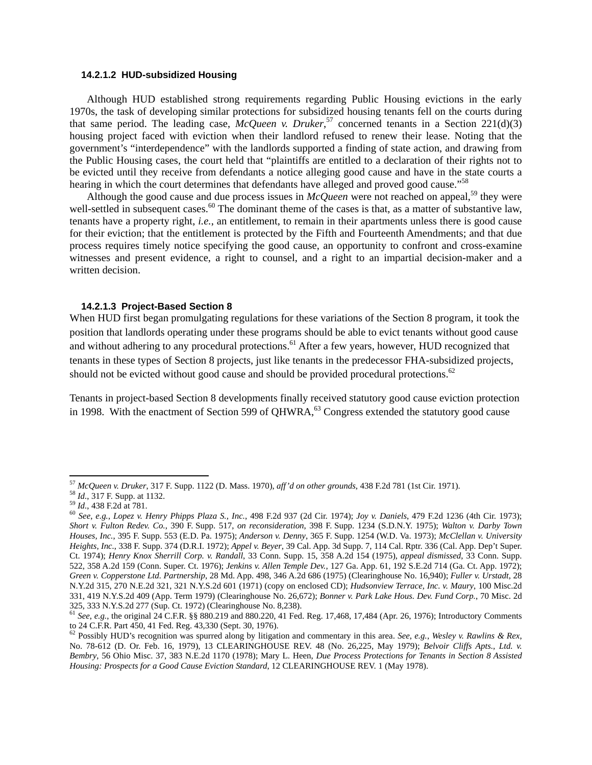## **14.2.1.2 HUD-subsidized Housing**

Although HUD established strong requirements regarding Public Housing evictions in the early 1970s, the task of developing similar protections for subsidized housing tenants fell on the courts during that same period. The leading case, *McQueen v. Druker*, 57 concerned tenants in a Section 221(d)(3) housing project faced with eviction when their landlord refused to renew their lease. Noting that the government's "interdependence" with the landlords supported a finding of state action, and drawing from the Public Housing cases, the court held that "plaintiffs are entitled to a declaration of their rights not to be evicted until they receive from defendants a notice alleging good cause and have in the state courts a hearing in which the court determines that defendants have alleged and proved good cause."<sup>58</sup>

Although the good cause and due process issues in  $McQueen$  were not reached on appeal,<sup>59</sup> they were well-settled in subsequent cases.<sup>60</sup> The dominant theme of the cases is that, as a matter of substantive law, tenants have a property right, *i.e.*, an entitlement, to remain in their apartments unless there is good cause for their eviction; that the entitlement is protected by the Fifth and Fourteenth Amendments; and that due process requires timely notice specifying the good cause, an opportunity to confront and cross-examine witnesses and present evidence, a right to counsel, and a right to an impartial decision-maker and a written decision.

#### **14.2.1.3 Project-Based Section 8**

When HUD first began promulgating regulations for these variations of the Section 8 program, it took the position that landlords operating under these programs should be able to evict tenants without good cause and without adhering to any procedural protections.<sup>61</sup> After a few years, however, HUD recognized that tenants in these types of Section 8 projects, just like tenants in the predecessor FHA-subsidized projects, should not be evicted without good cause and should be provided procedural protections. $62$ 

Tenants in project-based Section 8 developments finally received statutory good cause eviction protection in 1998. With the enactment of Section 599 of QHWRA,<sup>63</sup> Congress extended the statutory good cause

 $57$  McQueen v. Druker, 317 F. Supp. 1122 (D. Mass. 1970), aff'd on other grounds, 438 F.2d 781 (1st Cir. 1971).

<sup>&</sup>lt;sup>58</sup> *Id.*, 317 F. Supp. at 1132.<br><sup>59</sup> *Id.*, 438 F.2d at 781.<br><sup>60</sup> *See, e.g., Lopez v. Henry Phipps Plaza S., Inc.,* 498 F.2d 937 (2d Cir. 1974); *Joy v. Daniels,* 479 F.2d 1236 (4th Cir. 1973); *Short v. Fulton Redev. Co.*, 390 F. Supp. 517, *on reconsideration*, 398 F. Supp. 1234 (S.D.N.Y. 1975); *Walton v. Darby Town Houses, Inc.*, 395 F. Supp. 553 (E.D. Pa. 1975); *Anderson v. Denny*, 365 F. Supp. 1254 (W.D. Va. 1973); *McClellan v. University Heights, Inc.*, 338 F. Supp. 374 (D.R.I. 1972); *Appel v. Beyer*, 39 Cal. App. 3d Supp. 7, 114 Cal. Rptr. 336 (Cal. App. Dep't Super. Ct. 1974); *Henry Knox Sherrill Corp. v. Randall*, 33 Conn. Supp. 15, 358 A.2d 154 (1975), *appeal dismissed*, 33 Conn. Supp. 522, 358 A.2d 159 (Conn. Super. Ct. 1976); *Jenkins v. Allen Temple Dev.*, 127 Ga. App. 61, 192 S.E.2d 714 (Ga. Ct. App. 1972); *Green v. Copperstone Ltd. Partnership*, 28 Md. App. 498, 346 A.2d 686 (1975) (Clearinghouse No. 16,940); *Fuller v. Urstadt*, 28 N.Y.2d 315, 270 N.E.2d 321, 321 N.Y.S.2d 601 (1971) (copy on enclosed CD); *Hudsonview Terrace, Inc. v. Maury*, 100 Misc.2d 331, 419 N.Y.S.2d 409 (App. Term 1979) (Clearinghouse No. 26,672); *Bonner v. Park Lake Hous. Dev. Fund Corp.*, 70 Misc. 2d

<sup>&</sup>lt;sup>61</sup> See, e.g., the original 24 C.F.R. §§ 880.219 and 880.220, 41 Fed. Reg. 17,468, 17,484 (Apr. 26, 1976); Introductory Comments to 24 C.F.R. Part 450, 41 Fed. Reg. 43,330 (Sept. 30, 1976).

<sup>62</sup> Possibly HUD's recognition was spurred along by litigation and commentary in this area. *See*, *e.g.*, *Wesley v. Rawlins & Rex*, No. 78-612 (D. Or. Feb. 16, 1979), 13 CLEARINGHOUSE REV. 48 (No. 26,225, May 1979); *Belvoir Cliffs Apts., Ltd. v. Bembry*, 56 Ohio Misc. 37, 383 N.E.2d 1170 (1978); Mary L. Heen, *Due Process Protections for Tenants in Section 8 Assisted Housing: Prospects for a Good Cause Eviction Standard*, 12 CLEARINGHOUSE REV. 1 (May 1978).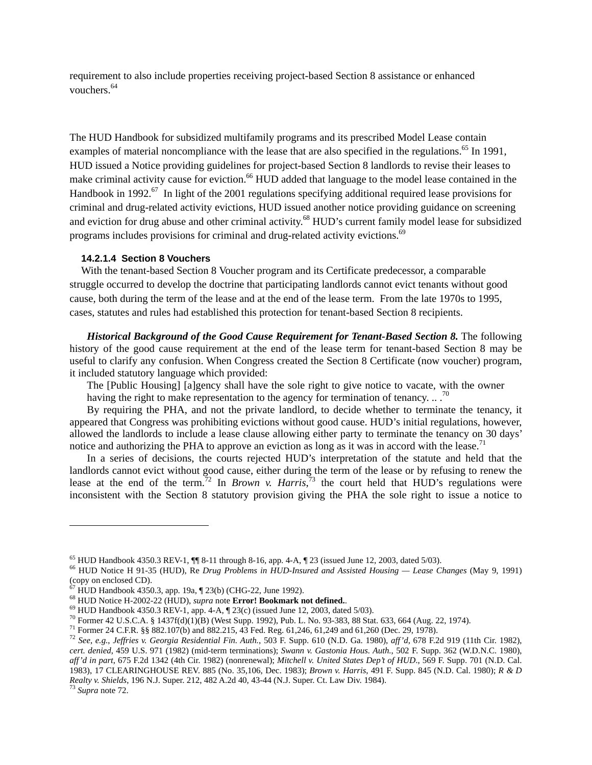requirement to also include properties receiving project-based Section 8 assistance or enhanced vouchers.<sup>64</sup>

The HUD Handbook for subsidized multifamily programs and its prescribed Model Lease contain examples of material noncompliance with the lease that are also specified in the regulations.<sup>65</sup> In 1991, HUD issued a Notice providing guidelines for project-based Section 8 landlords to revise their leases to make criminal activity cause for eviction.<sup>66</sup> HUD added that language to the model lease contained in the Handbook in 1992.<sup>67</sup> In light of the 2001 regulations specifying additional required lease provisions for criminal and drug-related activity evictions, HUD issued another notice providing guidance on screening and eviction for drug abuse and other criminal activity.<sup>68</sup> HUD's current family model lease for subsidized programs includes provisions for criminal and drug-related activity evictions.<sup>69</sup>

#### **14.2.1.4 Section 8 Vouchers**

With the tenant-based Section 8 Voucher program and its Certificate predecessor, a comparable struggle occurred to develop the doctrine that participating landlords cannot evict tenants without good cause, both during the term of the lease and at the end of the lease term. From the late 1970s to 1995, cases, statutes and rules had established this protection for tenant-based Section 8 recipients.

*Historical Background of the Good Cause Requirement for Tenant-Based Section 8.* The following history of the good cause requirement at the end of the lease term for tenant-based Section 8 may be useful to clarify any confusion. When Congress created the Section 8 Certificate (now voucher) program, it included statutory language which provided:

The [Public Housing] [a]gency shall have the sole right to give notice to vacate, with the owner having the right to make representation to the agency for termination of tenancy.  $\ldots$ <sup>70</sup>

By requiring the PHA, and not the private landlord, to decide whether to terminate the tenancy, it appeared that Congress was prohibiting evictions without good cause. HUD's initial regulations, however, allowed the landlords to include a lease clause allowing either party to terminate the tenancy on 30 days' notice and authorizing the PHA to approve an eviction as long as it was in accord with the lease.<sup>71</sup>

 In a series of decisions, the courts rejected HUD's interpretation of the statute and held that the landlords cannot evict without good cause, either during the term of the lease or by refusing to renew the lease at the end of the term.<sup>72</sup> In *Brown v. Harris*,<sup>73</sup> the court held that HUD's regulations were inconsistent with the Section 8 statutory provision giving the PHA the sole right to issue a notice to

<sup>65</sup> HUD Handbook 4350.3 REV-1, ¶¶ 8-11 through 8-16, app. 4-A, ¶ 23 (issued June 12, 2003, dated 5/03). 66 HUD Notice H 91-35 (HUD), Re *Drug Problems in HUD-Insured and Assisted Housing — Lease Changes* (May 9, 1991) (copy on enclosed CD).

 $\frac{\dot{\sigma}}{67}$  HUD Handbook 4350.3, app. 19a, ¶ 23(b) (CHG-22, June 1992).<br><sup>68</sup> HUD Notice H-2002-22 (HUD), *supra* note **Error! Bookmark not defined.**.

<sup>&</sup>lt;sup>69</sup> HUD Handbook 4350.3 REV-1, app. 4-A,  $\P$  23(c) (issued June 12, 2003, dated 5/03).<br><sup>70</sup> Former 42 U.S.C.A. § 1437f(d)(1)(B) (West Supp. 1992), Pub. L. No. 93-383, 88 Stat. 633, 664 (Aug. 22, 1974).<br><sup>71</sup> Former 24 C.F

*cert. denied*, 459 U.S. 971 (1982) (mid-term terminations); *Swann v. Gastonia Hous. Auth.*, 502 F. Supp. 362 (W.D.N.C. 1980), *aff'd in part*, 675 F.2d 1342 (4th Cir. 1982) (nonrenewal); *Mitchell v. United States Dep't of HUD*., 569 F. Supp. 701 (N.D. Cal. 1983), 17 CLEARINGHOUSE REV. 885 (No. 35,106, Dec. 1983); *Brown v. Harris*, 491 F. Supp. 845 (N.D. Cal. 1980); *R & D Realty v. Shields*, 196 N.J. Super. 212, 482 A.2d 40, 43-44 (N.J. Super. Ct. Law Div. 1984). 73 *Supra* note 72.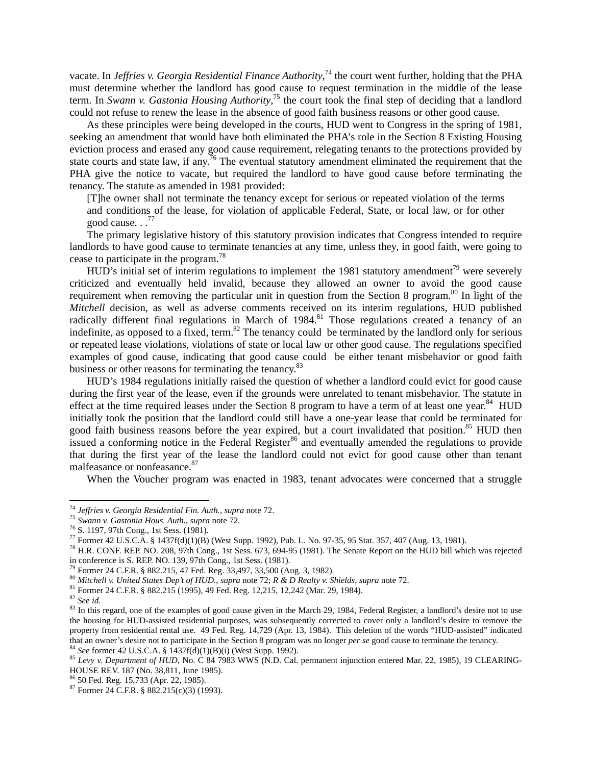vacate. In *Jeffries v. Georgia Residential Finance Authority*,<sup>74</sup> the court went further, holding that the PHA must determine whether the landlord has good cause to request termination in the middle of the lease term. In *Swann v. Gastonia Housing Authority*, 75 the court took the final step of deciding that a landlord could not refuse to renew the lease in the absence of good faith business reasons or other good cause.

As these principles were being developed in the courts, HUD went to Congress in the spring of 1981, seeking an amendment that would have both eliminated the PHA's role in the Section 8 Existing Housing eviction process and erased any good cause requirement, relegating tenants to the protections provided by state courts and state law, if any.<sup>76</sup> The eventual statutory amendment eliminated the requirement that the PHA give the notice to vacate, but required the landlord to have good cause before terminating the tenancy. The statute as amended in 1981 provided:

[T]he owner shall not terminate the tenancy except for serious or repeated violation of the terms and conditions of the lease, for violation of applicable Federal, State, or local law, or for other good cause.  $.77$ 

The primary legislative history of this statutory provision indicates that Congress intended to require landlords to have good cause to terminate tenancies at any time, unless they, in good faith, were going to cease to participate in the program.78

 $HUD$ 's initial set of interim regulations to implement the 1981 statutory amendment<sup>79</sup> were severely criticized and eventually held invalid, because they allowed an owner to avoid the good cause requirement when removing the particular unit in question from the Section 8 program.<sup>80</sup> In light of the *Mitchell* decision, as well as adverse comments received on its interim regulations, HUD published radically different final regulations in March of 1984.<sup>81</sup> Those regulations created a tenancy of an indefinite, as opposed to a fixed, term.<sup>82</sup> The tenancy could be terminated by the landlord only for serious or repeated lease violations, violations of state or local law or other good cause. The regulations specified examples of good cause, indicating that good cause could be either tenant misbehavior or good faith business or other reasons for terminating the tenancy.<sup>83</sup>

 HUD's 1984 regulations initially raised the question of whether a landlord could evict for good cause during the first year of the lease, even if the grounds were unrelated to tenant misbehavior. The statute in effect at the time required leases under the Section 8 program to have a term of at least one year. $84$  HUD initially took the position that the landlord could still have a one-year lease that could be terminated for good faith business reasons before the year expired, but a court invalidated that position.<sup>85</sup> HUD then issued a conforming notice in the Federal Register<sup>86</sup> and eventually amended the regulations to provide that during the first year of the lease the landlord could not evict for good cause other than tenant malfeasance or nonfeasance. 87

When the Voucher program was enacted in 1983, tenant advocates were concerned that a struggle

<sup>&</sup>lt;sup>74</sup> Jeffries v. Georgia Residential Fin. Auth., supra note 72.

<sup>&</sup>lt;sup>75</sup> *Swann v. Gastonia Hous. Auth.*, *supra* note 72.<br><sup>76</sup> S. 1197, 97th Cong., 1st Sess. (1981).<br><sup>77</sup> Former 42 U.S.C.A. § 1437f(d)(1)(B) (West Supp. 1992), Pub. L. No. 97-35, 95 Stat. 357, 407 (Aug. 13, 1981).

<sup>&</sup>lt;sup>78</sup> H.R. CONF. REP. NO. 208, 97th Cong., 1st Sess. 673, 694-95 (1981). The Senate Report on the HUD bill which was rejected in conference is S. REP. NO. 139, 97th Cong., 1st Sess. (1981).<br><sup>79</sup> Former 24 C.F.R. § 882.215, 47 Fed. Reg. 33,497, 33,500 (Aug. 3, 1982).

<sup>&</sup>lt;sup>80</sup> Mitchell v. United States Dep't of HUD., supra note 72; R & D Realty v. Shields, supra note 72.<br><sup>81</sup> Former 24 C.F.R. § 882.215 (1995), 49 Fed. Reg. 12,215, 12,242 (Mar. 29, 1984).<br><sup>82</sup> See id.<br><sup>83</sup> In this regard, o the housing for HUD-assisted residential purposes, was subsequently corrected to cover only a landlord's desire to remove the property from residential rental use. 49 Fed. Reg. 14,729 (Apr. 13, 1984). This deletion of the words "HUD-assisted" indicated that an owner's desire not to participate in the Section 8 program was no longer *per se* good cause to terminate the tenancy.<br><sup>84</sup> See former 42 U.S.C.A. § 1437f(d)(1)(B)(i) (West Supp. 1992).<br><sup>85</sup> Levy v. Department of H

HOUSE REV. 187 (No. 38,811, June 1985).

<sup>86 50</sup> Fed. Reg. 15,733 (Apr. 22, 1985).

 $87$  Former 24 C.F.R. §  $882.215(c)(3)$  (1993).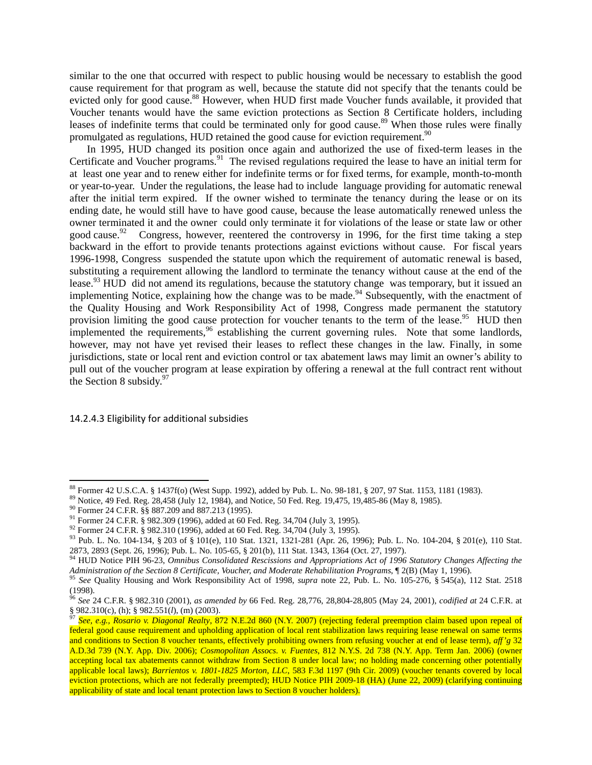similar to the one that occurred with respect to public housing would be necessary to establish the good cause requirement for that program as well, because the statute did not specify that the tenants could be evicted only for good cause.<sup>88</sup> However, when HUD first made Voucher funds available, it provided that Voucher tenants would have the same eviction protections as Section 8 Certificate holders, including leases of indefinite terms that could be terminated only for good cause.<sup>89</sup> When those rules were finally promulgated as regulations, HUD retained the good cause for eviction requirement.<sup>90</sup>

 In 1995, HUD changed its position once again and authorized the use of fixed-term leases in the Certificate and Voucher programs.<sup>91</sup> The revised regulations required the lease to have an initial term for at least one year and to renew either for indefinite terms or for fixed terms, for example, month-to-month or year-to-year. Under the regulations, the lease had to include language providing for automatic renewal after the initial term expired. If the owner wished to terminate the tenancy during the lease or on its ending date, he would still have to have good cause, because the lease automatically renewed unless the owner terminated it and the owner could only terminate it for violations of the lease or state law or other good cause.<sup>92</sup> Congress, however, reentered the controversy in 1996, for the first time taking a step backward in the effort to provide tenants protections against evictions without cause. For fiscal years 1996-1998, Congress suspended the statute upon which the requirement of automatic renewal is based, substituting a requirement allowing the landlord to terminate the tenancy without cause at the end of the lease.<sup>93</sup> HUD did not amend its regulations, because the statutory change was temporary, but it issued an implementing Notice, explaining how the change was to be made.<sup>94</sup> Subsequently, with the enactment of the Quality Housing and Work Responsibility Act of 1998, Congress made permanent the statutory provision limiting the good cause protection for voucher tenants to the term of the lease.<sup>95</sup> HUD then implemented the requirements,<sup>96</sup> establishing the current governing rules. Note that some landlords, however, may not have yet revised their leases to reflect these changes in the law. Finally, in some jurisdictions, state or local rent and eviction control or tax abatement laws may limit an owner's ability to pull out of the voucher program at lease expiration by offering a renewal at the full contract rent without the Section 8 subsidy. $97$ 

14.2.4.3 Eligibility for additional subsidies

<sup>&</sup>lt;sup>88</sup> Former 42 U.S.C.A. § 1437f(o) (West Supp. 1992), added by Pub. L. No. 98-181, § 207, 97 Stat. 1153, 1181 (1983).<br><sup>89</sup> Notice, 49 Fed. Reg. 28,458 (July 12, 1984), and Notice, 50 Fed. Reg. 19,475, 19,485-86 (May 8, 19

<sup>&</sup>lt;sup>92</sup> Former 24 C.F.R. § 982.310 (1996), added at 60 Fed. Reg. 34,704 (July 3, 1995).<br><sup>93</sup> Pub. L. No. 104-134, § 203 of § 101(e), 110 Stat. 1321, 1321-281 (Apr. 26, 1996); Pub. L. No. 104-204, § 201(e), 110 Stat. 2873, 2893 (Sept. 26, 1996); Pub. L. No. 105-65, § 201(b), 111 Stat. 1343, 1364 (Oct. 27, 1997).

<sup>94</sup> HUD Notice PIH 96-23, *Omnibus Consolidated Rescissions and Appropriations Act of 1996 Statutory Changes Affecting the*  Administration of the Section 8 Certificate, Voucher, and Moderate Rehabilitation Programs, ¶ 2(B) (May 1, 1996).<br><sup>95</sup> See Quality Housing and Work Responsibility Act of 1998, supra note 22, Pub. L. No. 105-276, § 545(a),

<sup>(1998).</sup> 

<sup>96</sup> *See* 24 C.F.R. § 982.310 (2001), *as amended by* 66 Fed. Reg. 28,776, 28,804-28,805 (May 24, 2001), *codified at* 24 C.F.R. at § 982.310(c), (h); § 982.551(*l*), (m) (2003).<br><sup>97</sup> *See, e.g., Rosario v. Diagonal Realty, 872 N.E.2d 860 (N.Y. 2007) (rejecting federal preemption claim based upon repeal of* 

federal good cause requirement and upholding application of local rent stabilization laws requiring lease renewal on same terms and conditions to Section 8 voucher tenants, effectively prohibiting owners from refusing voucher at end of lease term), *aff'g* 32 A.D.3d 739 (N.Y. App. Div. 2006); *Cosmopolitan Assocs. v. Fuentes*, 812 N.Y.S. 2d 738 (N.Y. App. Term Jan. 2006) (owner accepting local tax abatements cannot withdraw from Section 8 under local law; no holding made concerning other potentially applicable local laws); *Barrientos v. 1801-1825 Morton, LLC*, 583 F.3d 1197 (9th Cir. 2009) (voucher tenants covered by local eviction protections, which are not federally preempted); HUD Notice PIH 2009-18 (HA) (June 22, 2009) (clarifying continuing applicability of state and local tenant protection laws to Section 8 voucher holders).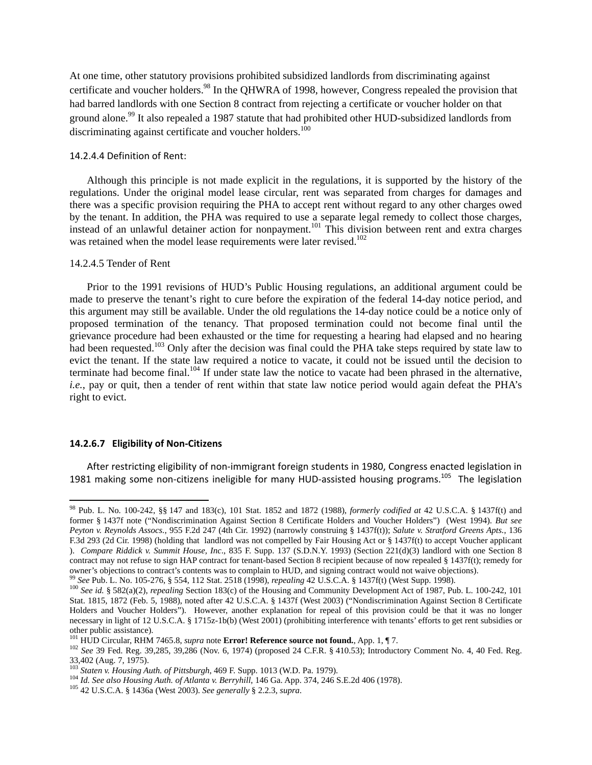At one time, other statutory provisions prohibited subsidized landlords from discriminating against certificate and voucher holders.<sup>98</sup> In the QHWRA of 1998, however, Congress repealed the provision that had barred landlords with one Section 8 contract from rejecting a certificate or voucher holder on that ground alone.<sup>99</sup> It also repealed a 1987 statute that had prohibited other HUD-subsidized landlords from discriminating against certificate and voucher holders.<sup>100</sup>

#### 14.2.4.4 Definition of Rent:

Although this principle is not made explicit in the regulations, it is supported by the history of the regulations. Under the original model lease circular, rent was separated from charges for damages and there was a specific provision requiring the PHA to accept rent without regard to any other charges owed by the tenant. In addition, the PHA was required to use a separate legal remedy to collect those charges, instead of an unlawful detainer action for nonpayment.101 This division between rent and extra charges was retained when the model lease requirements were later revised.<sup>102</sup>

## 14.2.4.5 Tender of Rent

Prior to the 1991 revisions of HUD's Public Housing regulations, an additional argument could be made to preserve the tenant's right to cure before the expiration of the federal 14-day notice period, and this argument may still be available. Under the old regulations the 14-day notice could be a notice only of proposed termination of the tenancy. That proposed termination could not become final until the grievance procedure had been exhausted or the time for requesting a hearing had elapsed and no hearing had been requested.<sup>103</sup> Only after the decision was final could the PHA take steps required by state law to evict the tenant. If the state law required a notice to vacate, it could not be issued until the decision to terminate had become final.<sup>104</sup> If under state law the notice to vacate had been phrased in the alternative, *i.e.*, pay or quit, then a tender of rent within that state law notice period would again defeat the PHA's right to evict.

## **14.2.6.7 Eligibility of Non‐Citizens**

After restricting eligibility of non‐immigrant foreign students in 1980, Congress enacted legislation in 1981 making some non-citizens ineligible for many HUD-assisted housing programs.<sup>105</sup> The legislation

<sup>98</sup> Pub. L. No. 100-242, §§ 147 and 183(c), 101 Stat. 1852 and 1872 (1988), *formerly codified at* 42 U.S.C.A. § 1437f(t) and former § 1437f note ("Nondiscrimination Against Section 8 Certificate Holders and Voucher Holders") (West 1994). *But see Peyton v. Reynolds Assocs.*, 955 F.2d 247 (4th Cir. 1992) (narrowly construing § 1437f(t)); *Salute v. Stratford Greens Apts.*, 136 F.3d 293 (2d Cir. 1998) (holding that landlord was not compelled by Fair Housing Act or § 1437f(t) to accept Voucher applicant ). *Compare Riddick v. Summit House, Inc*., 835 F. Supp. 137 (S.D.N.Y. 1993) (Section 221(d)(3) landlord with one Section 8 contract may not refuse to sign HAP contract for tenant-based Section 8 recipient because of now repealed § 1437f(t); remedy for owner's objections to contract's contents was to complain to HUD, and signing contract would not waive objections).<br><sup>99</sup> See Pub. L. No. 105-276, § 554, 112 Stat. 2518 (1998), *repealing* 42 U.S.C.A. § 1437f(t) (West Supp.

Stat. 1815, 1872 (Feb. 5, 1988), noted after 42 U.S.C.A. § 1437f (West 2003) ("Nondiscrimination Against Section 8 Certificate Holders and Voucher Holders"). However, another explanation for repeal of this provision could be that it was no longer necessary in light of 12 U.S.C.A. § 1715z-1b(b) (West 2001) (prohibiting interference with tenants' efforts to get rent subsidies or other public assistance).<br><sup>101</sup> HUD Circular, RHM 7465.8, *supra* note **Error! Reference source not found.**, App. 1, ¶7.

<sup>&</sup>lt;sup>102</sup> See 39 Fed. Reg. 39,285, 39,286 (Nov. 6, 1974) (proposed 24 C.F.R. § 410.53); Introductory Comment No. 4, 40 Fed. Reg. 33,402 (Aug. 7, 1975).<br><sup>103</sup> Staten v. Housing Auth. of Pittsburgh, 469 F. Supp. 1013 (W.D. Pa. 1979).

<sup>&</sup>lt;sup>104</sup> Id. See also Housing Auth. of Atlanta v. Berryhill, 146 Ga. App. 374, 246 S.E.2d 406 (1978). <sup>105</sup> 42 U.S.C.A. § 1436a (West 2003). See generally § 2.2.3, supra.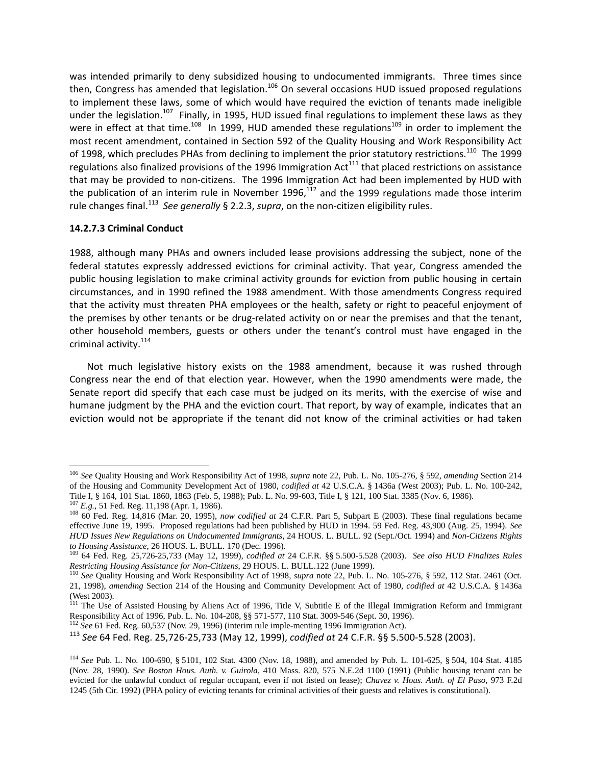was intended primarily to deny subsidized housing to undocumented immigrants. Three times since then, Congress has amended that legislation.<sup>106</sup> On several occasions HUD issued proposed regulations to implement these laws, some of which would have required the eviction of tenants made ineligible under the legislation.<sup>107</sup> Finally, in 1995, HUD issued final regulations to implement these laws as they were in effect at that time.<sup>108</sup> In 1999, HUD amended these regulations<sup>109</sup> in order to implement the most recent amendment, contained in Section 592 of the Quality Housing and Work Responsibility Act of 1998, which precludes PHAs from declining to implement the prior statutory restrictions.<sup>110</sup> The 1999 regulations also finalized provisions of the 1996 Immigration  $Act^{111}$  that placed restrictions on assistance that may be provided to non‐citizens. The 1996 Immigration Act had been implemented by HUD with the publication of an interim rule in November 1996, $^{112}$  and the 1999 regulations made those interim rule changes final.<sup>113</sup> *See generally* § 2.2.3, *supra*, on the non‐citizen eligibility rules.

## **14.2.7.3 Criminal Conduct**

1988, although many PHAs and owners included lease provisions addressing the subject, none of the federal statutes expressly addressed evictions for criminal activity. That year, Congress amended the public housing legislation to make criminal activity grounds for eviction from public housing in certain circumstances, and in 1990 refined the 1988 amendment. With those amendments Congress required that the activity must threaten PHA employees or the health, safety or right to peaceful enjoyment of the premises by other tenants or be drug-related activity on or near the premises and that the tenant, other household members, guests or others under the tenant's control must have engaged in the criminal activity.<sup>114</sup>

Not much legislative history exists on the 1988 amendment, because it was rushed through Congress near the end of that election year. However, when the 1990 amendments were made, the Senate report did specify that each case must be judged on its merits, with the exercise of wise and humane judgment by the PHA and the eviction court. That report, by way of example, indicates that an eviction would not be appropriate if the tenant did not know of the criminal activities or had taken

<sup>106</sup> *See* Quality Housing and Work Responsibility Act of 1998, *supra* note 22, Pub. L. No. 105-276, § 592, *amending* Section 214 of the Housing and Community Development Act of 1980, *codified at* 42 U.S.C.A. § 1436a (West 2003); Pub. L. No. 100-242,

 $^{107}$  E.g., 51 Fed. Reg. 11,198 (Apr. 1, 1986).<br> $^{108}$  60 Fed. Reg. 14,816 (Mar. 20, 1995), now codified at 24 C.F.R. Part 5, Subpart E (2003). These final regulations became effective June 19, 1995. Proposed regulations had been published by HUD in 1994. 59 Fed. Reg. 43,900 (Aug. 25, 1994). *See HUD Issues New Regulations on Undocumented Immigrants*, 24 HOUS. L. BULL. 92 (Sept./Oct. 1994) and *Non-Citizens Rights to Housing Assistance*, 26 HOUS. L. BULL. 170 (Dec. 1996). 109 64 Fed. Reg. 25,726-25,733 (May 12, 1999), *codified at* 24 C.F.R. §§ 5.500-5.528 (2003). *See also HUD Finalizes Rules* 

Restricting Housing Assistance for Non-Citizens, 29 HOUS. L. BULL.122 (June 1999).<br><sup>110</sup> See Quality Housing and Work Responsibility Act of 1998, *supra* note 22, Pub. L. No. 105-276, § 592, 112 Stat. 2461 (Oct.

<sup>21, 1998),</sup> *amending* Section 214 of the Housing and Community Development Act of 1980, *codified at* 42 U.S.C.A. § 1436a (West 2003).

<sup>&</sup>lt;sup>111</sup> The Use of Assisted Housing by Aliens Act of 1996, Title V, Subtitle E of the Illegal Immigration Reform and Immigrant Responsibility Act of 1996, Pub. L. No. 104-208, §§ 571-577, 110 Stat. 3009-546 (Sept. 30, 1996).

<sup>112</sup> *See* 61 Fed. Reg. 60,537 (Nov. 29, 1996) (interim rule imple-menting 1996 Immigration Act).

<sup>113</sup> *See* 64 Fed. Reg. 25,726‐25,733 (May 12, 1999), *codified at* 24 C.F.R. §§ 5.500‐5.528 (2003).

<sup>114</sup> *See* Pub. L. No. 100-690, § 5101, 102 Stat. 4300 (Nov. 18, 1988), and amended by Pub. L. 101-625, § 504, 104 Stat. 4185 (Nov. 28, 1990). *See Boston Hous. Auth. v. Guirola*, 410 Mass. 820, 575 N.E.2d 1100 (1991) (Public housing tenant can be evicted for the unlawful conduct of regular occupant, even if not listed on lease); *Chavez v. Hous. Auth. of El Paso*, 973 F.2d 1245 (5th Cir. 1992) (PHA policy of evicting tenants for criminal activities of their guests and relatives is constitutional).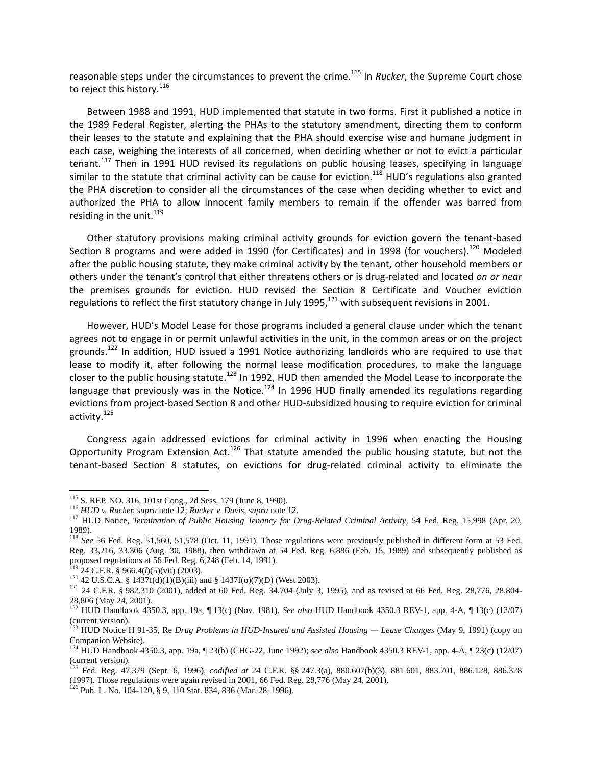reasonable steps under the circumstances to prevent the crime.<sup>115</sup> In *Rucker*, the Supreme Court chose to reject this history.<sup>116</sup>

Between 1988 and 1991, HUD implemented that statute in two forms. First it published a notice in the 1989 Federal Register, alerting the PHAs to the statutory amendment, directing them to conform their leases to the statute and explaining that the PHA should exercise wise and humane judgment in each case, weighing the interests of all concerned, when deciding whether or not to evict a particular tenant.<sup>117</sup> Then in 1991 HUD revised its regulations on public housing leases, specifying in language similar to the statute that criminal activity can be cause for eviction.<sup>118</sup> HUD's regulations also granted the PHA discretion to consider all the circumstances of the case when deciding whether to evict and authorized the PHA to allow innocent family members to remain if the offender was barred from residing in the unit. $^{119}$ 

Other statutory provisions making criminal activity grounds for eviction govern the tenant‐based Section 8 programs and were added in 1990 (for Certificates) and in 1998 (for vouchers).<sup>120</sup> Modeled after the public housing statute, they make criminal activity by the tenant, other household members or others under the tenant's control that either threatens others or is drug‐related and located *on or near* the premises grounds for eviction. HUD revised the Section 8 Certificate and Voucher eviction regulations to reflect the first statutory change in July 1995,<sup>121</sup> with subsequent revisions in 2001.

However, HUD's Model Lease for those programs included a general clause under which the tenant agrees not to engage in or permit unlawful activities in the unit, in the common areas or on the project grounds.<sup>122</sup> In addition, HUD issued a 1991 Notice authorizing landlords who are required to use that lease to modify it, after following the normal lease modification procedures, to make the language closer to the public housing statute.<sup>123</sup> In 1992, HUD then amended the Model Lease to incorporate the language that previously was in the Notice.<sup>124</sup> In 1996 HUD finally amended its regulations regarding evictions from project‐based Section 8 and other HUD‐subsidized housing to require eviction for criminal activity.<sup>125</sup>

Congress again addressed evictions for criminal activity in 1996 when enacting the Housing Opportunity Program Extension Act.<sup>126</sup> That statute amended the public housing statute, but not the tenant-based Section 8 statutes, on evictions for drug-related criminal activity to eliminate the

<sup>&</sup>lt;sup>115</sup> S. REP. NO. 316, 101st Cong., 2d Sess. 179 (June 8, 1990).

<sup>&</sup>lt;sup>116</sup> HUD v. Rucker, supra note 12; Rucker v. Davis, supra note 12.<br><sup>117</sup> HUD Notice, *Termination of Public Housing Tenancy for Drug-Related Criminal Activity*, 54 Fed. Reg. 15,998 (Apr. 20, 1989).

<sup>&</sup>lt;sup>118</sup> See 56 Fed. Reg. 51,560, 51,578 (Oct. 11, 1991). Those regulations were previously published in different form at 53 Fed. Reg. 33,216, 33,306 (Aug. 30, 1988), then withdrawn at 54 Fed. Reg. 6,886 (Feb. 15, 1989) and subsequently published as proposed regulations at 56 Fed. Reg. 6,248 (Feb. 14, 1991).<br><sup>119</sup> 24 C.F.R. § 966.4(*l*)(5)(vii) (2003).

<sup>&</sup>lt;sup>120</sup> 42 U.S.C.A. § 1437f(d)(1)(B)(iii) and § 1437f(o)(7)(D) (West 2003).<br><sup>121</sup> 24 C.F.R. § 982.310 (2001), added at 60 Fed. Reg. 34,704 (July 3, 1995), and as revised at 66 Fed. Reg. 28,776, 28,804-28,806 (May 24, 2001).

<sup>122</sup> HUD Handbook 4350.3, app. 19a, ¶ 13(c) (Nov. 1981). *See also* HUD Handbook 4350.3 REV-1, app. 4-A, ¶ 13(c) (12/07) (current version).

<sup>123</sup> HUD Notice H 91-35, Re *Drug Problems in HUD-Insured and Assisted Housing — Lease Changes* (May 9, 1991) (copy on Companion Website).

<sup>124</sup> HUD Handbook 4350.3, app. 19a, ¶ 23(b) (CHG-22, June 1992); *see also* Handbook 4350.3 REV-1, app. 4-A, ¶ 23(c) (12/07)  $($ Current version).

<sup>125</sup> Fed. Reg. 47,379 (Sept. 6, 1996), *codified at* 24 C.F.R. §§ 247.3(a), 880.607(b)(3), 881.601, 883.701, 886.128, 886.328 (1997). Those regulations were again revised in 2001, 66 Fed. Reg. 28,776 (May 24, 2001). 126 Pub. L. No. 104-120, § 9, 110 Stat. 834, 836 (Mar. 28, 1996).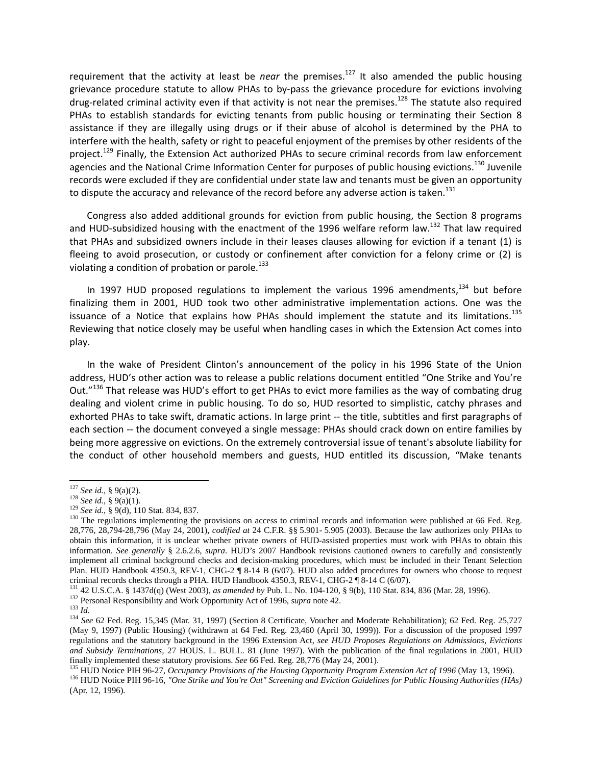requirement that the activity at least be *near* the premises.<sup>127</sup> It also amended the public housing grievance procedure statute to allow PHAs to by‐pass the grievance procedure for evictions involving drug-related criminal activity even if that activity is not near the premises.<sup>128</sup> The statute also required PHAs to establish standards for evicting tenants from public housing or terminating their Section 8 assistance if they are illegally using drugs or if their abuse of alcohol is determined by the PHA to interfere with the health, safety or right to peaceful enjoyment of the premises by other residents of the project.<sup>129</sup> Finally, the Extension Act authorized PHAs to secure criminal records from law enforcement agencies and the National Crime Information Center for purposes of public housing evictions.<sup>130</sup> Juvenile records were excluded if they are confidential under state law and tenants must be given an opportunity to dispute the accuracy and relevance of the record before any adverse action is taken. $^{131}$ 

Congress also added additional grounds for eviction from public housing, the Section 8 programs and HUD-subsidized housing with the enactment of the 1996 welfare reform law.<sup>132</sup> That law required that PHAs and subsidized owners include in their leases clauses allowing for eviction if a tenant (1) is fleeing to avoid prosecution, or custody or confinement after conviction for a felony crime or (2) is violating a condition of probation or parole. $133$ 

In 1997 HUD proposed regulations to implement the various 1996 amendments, $134$  but before finalizing them in 2001, HUD took two other administrative implementation actions. One was the issuance of a Notice that explains how PHAs should implement the statute and its limitations.<sup>135</sup> Reviewing that notice closely may be useful when handling cases in which the Extension Act comes into play.

In the wake of President Clinton's announcement of the policy in his 1996 State of the Union address, HUD's other action was to release a public relations document entitled "One Strike and You're Out."<sup>136</sup> That release was HUD's effort to get PHAs to evict more families as the way of combating drug dealing and violent crime in public housing. To do so, HUD resorted to simplistic, catchy phrases and exhorted PHAs to take swift, dramatic actions. In large print ‐‐ the title, subtitles and first paragraphs of each section -- the document conveyed a single message: PHAs should crack down on entire families by being more aggressive on evictions. On the extremely controversial issue of tenant's absolute liability for the conduct of other household members and guests, HUD entitled its discussion, "Make tenants

 $127$  See id., § 9(a)(2).

<sup>&</sup>lt;sup>128</sup> See id., § 9(a)(1).<br><sup>129</sup> See id., § 9(a)(1).<br><sup>129</sup> See id., § 9(d), 110 Stat. 834, 837.<br><sup>129</sup> The regulations implementing the provisions on access to criminal records and information were published at 66 Fed. Reg. 28,776, 28,794-28,796 (May 24, 2001), *codified at* 24 C.F.R. §§ 5.901- 5.905 (2003). Because the law authorizes only PHAs to obtain this information, it is unclear whether private owners of HUD-assisted properties must work with PHAs to obtain this information. *See generally* § 2.6.2.6, *supra*. HUD's 2007 Handbook revisions cautioned owners to carefully and consistently implement all criminal background checks and decision-making procedures, which must be included in their Tenant Selection Plan. HUD Handbook 4350.3, REV-1, CHG-2 ¶ 8-14 B (6/07). HUD also added procedures for owners who choose to request criminal records checks through a PHA. HUD Handbook 4350.3, REV-1, CHG-2 ¶ 8-14 C (6/07).

<sup>&</sup>lt;sup>131</sup> 42 U.S.C.A. § 1437d(q) (West 2003), *as amended by* Pub. L. No. 104-120, § 9(b), 110 Stat. 834, 836 (Mar. 28, 1996).<br><sup>132</sup> Personal Responsibility and Work Opportunity Act of 1996, *supra* note 42.<br><sup>133</sup> Id.<br><sup>134</sup> S

<sup>(</sup>May 9, 1997) (Public Housing) (withdrawn at 64 Fed. Reg. 23,460 (April 30, 1999)). For a discussion of the proposed 1997 regulations and the statutory background in the 1996 Extension Act, *see HUD Proposes Regulations on Admissions, Evictions and Subsidy Terminations*, 27 HOUS. L. BULL. 81 (June 1997). With the publication of the final regulations in 2001, HUD finally implemented these statutory provisions. See 66 Fed. Reg. 28,776 (May 24, 2001).<br><sup>135</sup> HUD Notice PIH 96-27, Occupancy Provisions of the Housing Opportunity Program Extension Act of 1996 (May 13, 1996).<br><sup>136</sup> HUD No

<sup>(</sup>Apr. 12, 1996).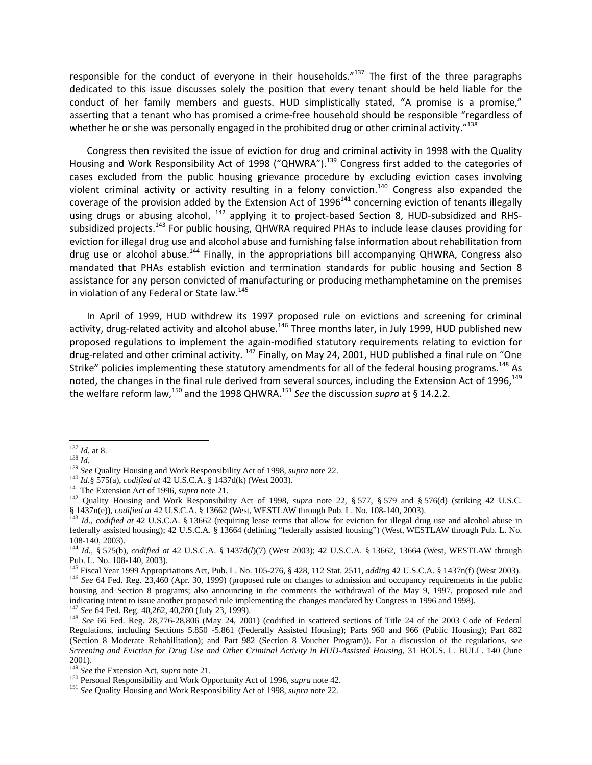responsible for the conduct of everyone in their households."<sup>137</sup> The first of the three paragraphs dedicated to this issue discusses solely the position that every tenant should be held liable for the conduct of her family members and guests. HUD simplistically stated, "A promise is a promise," asserting that a tenant who has promised a crime‐free household should be responsible "regardless of whether he or she was personally engaged in the prohibited drug or other criminal activity."<sup>138</sup>

Congress then revisited the issue of eviction for drug and criminal activity in 1998 with the Quality Housing and Work Responsibility Act of 1998 ("QHWRA").<sup>139</sup> Congress first added to the categories of cases excluded from the public housing grievance procedure by excluding eviction cases involving violent criminal activity or activity resulting in a felony conviction.<sup>140</sup> Congress also expanded the coverage of the provision added by the Extension Act of  $1996<sup>141</sup>$  concerning eviction of tenants illegally using drugs or abusing alcohol, <sup>142</sup> applying it to project-based Section 8, HUD-subsidized and RHSsubsidized projects.<sup>143</sup> For public housing, QHWRA required PHAs to include lease clauses providing for eviction for illegal drug use and alcohol abuse and furnishing false information about rehabilitation from drug use or alcohol abuse.<sup>144</sup> Finally, in the appropriations bill accompanying QHWRA, Congress also mandated that PHAs establish eviction and termination standards for public housing and Section 8 assistance for any person convicted of manufacturing or producing methamphetamine on the premises in violation of any Federal or State law.<sup>145</sup>

In April of 1999, HUD withdrew its 1997 proposed rule on evictions and screening for criminal activity, drug-related activity and alcohol abuse.<sup>146</sup> Three months later, in July 1999, HUD published new proposed regulations to implement the again‐modified statutory requirements relating to eviction for drug-related and other criminal activity. <sup>147</sup> Finally, on May 24, 2001, HUD published a final rule on "One Strike" policies implementing these statutory amendments for all of the federal housing programs.<sup>148</sup> As noted, the changes in the final rule derived from several sources, including the Extension Act of 1996,<sup>149</sup> the welfare reform law,<sup>150</sup> and the 1998 QHWRA.<sup>151</sup> See the discussion *supra* at § 14.2.2.

<sup>&</sup>lt;sup>137</sup> *Id.* at 8.<br>
<sup>138</sup> *Id.*<br>
<sup>139</sup> *See* Quality Housing and Work Responsibility Act of 1998, *supra* note 22.<br>
<sup>140</sup> *Id.*§ 575(a), *codified at* 42 U.S.C.A. § 1437d(k) (West 2003).<br>
<sup>141</sup> The Extension Act of 1996,  $\frac{1437n(e)}{143}$ , codified at 42 U.S.C.A. § 13662 (West, WESTLAW through Pub. L. No. 108-140, 2003).<br><sup>143</sup> Id., codified at 42 U.S.C.A. § 13662 (requiring lease terms that allow for eviction for illegal drug use and alco

federally assisted housing); 42 U.S.C.A. § 13664 (defining "federally assisted housing") (West, WESTLAW through Pub. L. No. 108-140, 2003).

<sup>144</sup> *Id.,* § 575(b), *codified at* 42 U.S.C.A. § 1437d(*l*)(7) (West 2003); 42 U.S.C.A. § 13662, 13664 (West, WESTLAW through Pub. L. No. 108-140, 2003).<br><sup>145</sup> Fiscal Year 1999 Appropriations Act, Pub. L. No. 105-276, § 428, 112 Stat. 2511, *adding* 42 U.S.C.A. § 1437n(f) (West 2003).

<sup>&</sup>lt;sup>146</sup> See 64 Fed. Reg. 23.460 (Apr. 30, 1999) (proposed rule on changes to admission and occupancy requirements in the public housing and Section 8 programs; also announcing in the comments the withdrawal of the May 9, 1997, proposed rule and indicating intent to issue another proposed rule implementing the changes mandated by Congress in 1996 an

 $^{147}$  See 64 Fed. Reg. 40,262, 40,280 (July 23, 1999).<br><sup>148</sup> See 66 Fed. Reg. 28,776-28,806 (May 24, 2001) (codified in scattered sections of Title 24 of the 2003 Code of Federal Regulations, including Sections 5.850 -5.861 (Federally Assisted Housing); Parts 960 and 966 (Public Housing); Part 882 (Section 8 Moderate Rehabilitation); and Part 982 (Section 8 Voucher Program)). For a discussion of the regulations, *see Screening and Eviction for Drug Use and Other Criminal Activity in HUD-Assisted Housing*, 31 HOUS. L. BULL. 140 (June 2001).<br><sup>149</sup> See the Extension Act, *supra* note 21.

<sup>&</sup>lt;sup>150</sup> Personal Responsibility and Work Opportunity Act of 1996, *supra* note 42.<br><sup>151</sup> *See* Quality Housing and Work Responsibility Act of 1998, *supra* note 22.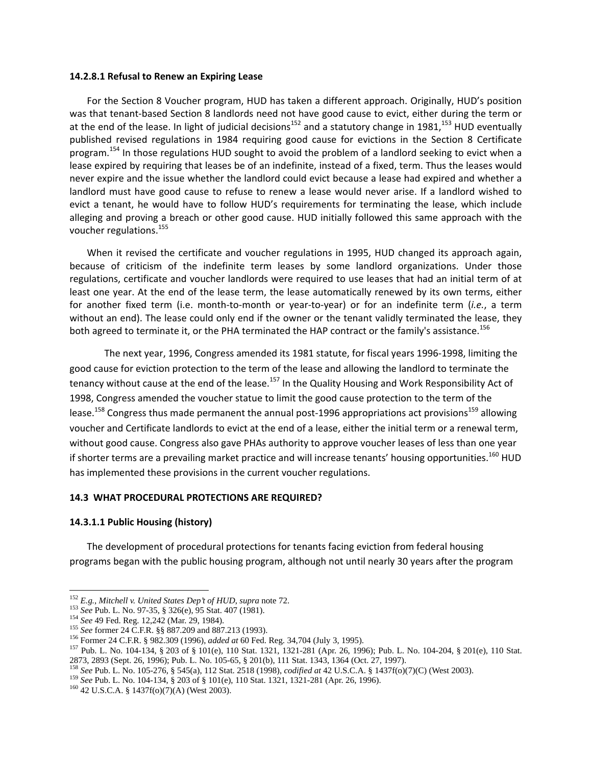#### **14.2.8.1 Refusal to Renew an Expiring Lease**

For the Section 8 Voucher program, HUD has taken a different approach. Originally, HUD's position was that tenant-based Section 8 landlords need not have good cause to evict, either during the term or at the end of the lease. In light of judicial decisions<sup>152</sup> and a statutory change in 1981,<sup>153</sup> HUD eventually published revised regulations in 1984 requiring good cause for evictions in the Section 8 Certificate program.<sup>154</sup> In those regulations HUD sought to avoid the problem of a landlord seeking to evict when a lease expired by requiring that leases be of an indefinite, instead of a fixed, term. Thus the leases would never expire and the issue whether the landlord could evict because a lease had expired and whether a landlord must have good cause to refuse to renew a lease would never arise. If a landlord wished to evict a tenant, he would have to follow HUD's requirements for terminating the lease, which include alleging and proving a breach or other good cause. HUD initially followed this same approach with the voucher regulations.<sup>155</sup>

When it revised the certificate and voucher regulations in 1995, HUD changed its approach again, because of criticism of the indefinite term leases by some landlord organizations. Under those regulations, certificate and voucher landlords were required to use leases that had an initial term of at least one year. At the end of the lease term, the lease automatically renewed by its own terms, either for another fixed term (i.e. month‐to‐month or year‐to‐year) or for an indefinite term (*i.e.*, a term without an end). The lease could only end if the owner or the tenant validly terminated the lease, they both agreed to terminate it, or the PHA terminated the HAP contract or the family's assistance.<sup>156</sup>

The next year, 1996, Congress amended its 1981 statute, for fiscal years 1996‐1998, limiting the good cause for eviction protection to the term of the lease and allowing the landlord to terminate the tenancy without cause at the end of the lease.<sup>157</sup> In the Quality Housing and Work Responsibility Act of 1998, Congress amended the voucher statue to limit the good cause protection to the term of the lease.<sup>158</sup> Congress thus made permanent the annual post-1996 appropriations act provisions<sup>159</sup> allowing voucher and Certificate landlords to evict at the end of a lease, either the initial term or a renewal term, without good cause. Congress also gave PHAs authority to approve voucher leases of less than one year if shorter terms are a prevailing market practice and will increase tenants' housing opportunities.<sup>160</sup> HUD has implemented these provisions in the current voucher regulations.

## **14.3 WHAT PROCEDURAL PROTECTIONS ARE REQUIRED?**

## **14.3.1.1 Public Housing (history)**

The development of procedural protections for tenants facing eviction from federal housing programs began with the public housing program, although not until nearly 30 years after the program

<sup>&</sup>lt;sup>152</sup> E.g., Mitchell v. United States Dep't of HUD, supra note 72.

<sup>&</sup>lt;sup>153</sup> See Pub. L. No. 97-35, § 326(e), 95 Stat. 407 (1981).<br>
<sup>154</sup> See 49 Fed. Reg. 12,242 (Mar. 29, 1984).<br>
<sup>154</sup> See former 24 C.F.R. §§ 887.209 and 887.213 (1993).<br>
<sup>156</sup> Former 24 C.F.R. § 982.309 (1996), *added at* 6 2873, 2893 (Sept. 26, 1996); Pub. L. No. 105-65, § 201(b), 111 Stat. 1343, 1364 (Oct. 27, 1997).

<sup>&</sup>lt;sup>158</sup> See Pub. L. No. 105-276, § 545(a), 112 Stat. 2518 (1998), *codified at* 42 U.S.C.A. § 1437f(o)(7)(C) (West 2003).<br><sup>159</sup> See Pub. L. No. 104-134, § 203 of § 101(e), 110 Stat. 1321, 1321-281 (Apr. 26, 1996).<br><sup>160</sup> 42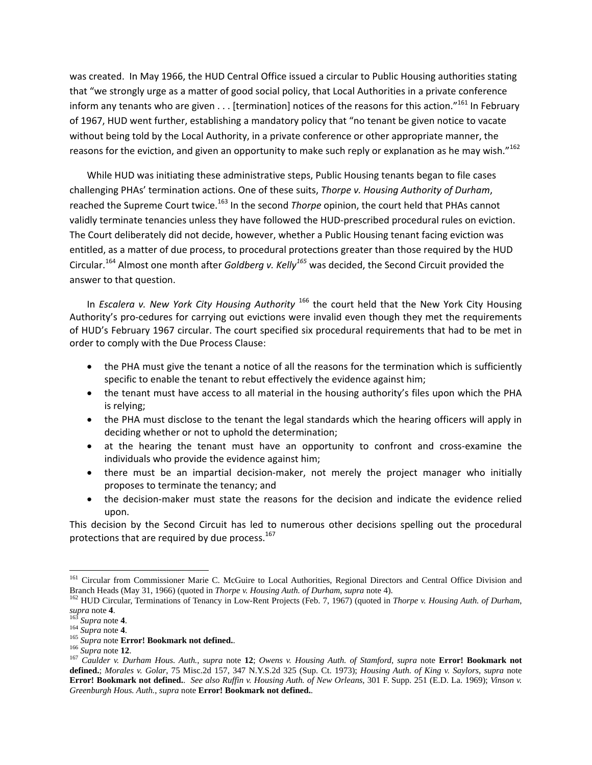was created. In May 1966, the HUD Central Office issued a circular to Public Housing authorities stating that "we strongly urge as a matter of good social policy, that Local Authorities in a private conference inform any tenants who are given . . . [termination] notices of the reasons for this action."<sup>161</sup> In February of 1967, HUD went further, establishing a mandatory policy that "no tenant be given notice to vacate without being told by the Local Authority, in a private conference or other appropriate manner, the reasons for the eviction, and given an opportunity to make such reply or explanation as he may wish."<sup>162</sup>

While HUD was initiating these administrative steps, Public Housing tenants began to file cases challenging PHAs' termination actions. One of these suits, *Thorpe v. Housing Authority of Durham*, reached the Supreme Court twice.<sup>163</sup> In the second *Thorpe* opinion, the court held that PHAs cannot validly terminate tenancies unless they have followed the HUD-prescribed procedural rules on eviction. The Court deliberately did not decide, however, whether a Public Housing tenant facing eviction was entitled, as a matter of due process, to procedural protections greater than those required by the HUD Circular.<sup>164</sup> Almost one month after *Goldberg v. Kelly<sup>165</sup>* was decided, the Second Circuit provided the answer to that question.

In *Escalera v. New York City Housing Authority* <sup>166</sup> the court held that the New York City Housing Authority's pro-cedures for carrying out evictions were invalid even though they met the requirements of HUD's February 1967 circular. The court specified six procedural requirements that had to be met in order to comply with the Due Process Clause:

- the PHA must give the tenant a notice of all the reasons for the termination which is sufficiently specific to enable the tenant to rebut effectively the evidence against him;
- the tenant must have access to all material in the housing authority's files upon which the PHA is relying;
- the PHA must disclose to the tenant the legal standards which the hearing officers will apply in deciding whether or not to uphold the determination;
- at the hearing the tenant must have an opportunity to confront and cross-examine the individuals who provide the evidence against him;
- there must be an impartial decision-maker, not merely the project manager who initially proposes to terminate the tenancy; and
- the decision-maker must state the reasons for the decision and indicate the evidence relied upon.

This decision by the Second Circuit has led to numerous other decisions spelling out the procedural protections that are required by due process. $167$ 

<sup>&</sup>lt;sup>161</sup> Circular from Commissioner Marie C. McGuire to Local Authorities, Regional Directors and Central Office Division and

Branch Heads (May 31, 1966) (quoted in *Thorpe v. Housing Auth. of Durham, supra* note 4).<br><sup>162</sup> HUD Circular, Terminations of Tenancy in Low-Rent Projects (Feb. 7, 1967) (quoted in *Thorpe v. Housing Auth. of Durham,*<br>sup

<sup>&</sup>lt;sup>163</sup> Supra note 4.<br><sup>164</sup> Supra note 4.<br><sup>165</sup> Supra note **Error! Bookmark not defined.**<br><sup>166</sup> Supra note 12.<br><sup>166</sup> Supra note 12.<br><sup>166</sup> Caulder v. Durham Hous. Auth., supra note 12; Owens v. Housing Auth. of Stamford, sup **defined.**; *Morales v. Golar*, 75 Misc.2d 157, 347 N.Y.S.2d 325 (Sup. Ct. 1973); *Housing Auth. of King v. Saylors*, *supra* note **Error! Bookmark not defined.**. *See also Ruffin v. Housing Auth. of New Orleans*, 301 F. Supp. 251 (E.D. La. 1969); *Vinson v. Greenburgh Hous. Auth.*, *supra* note **Error! Bookmark not defined.**.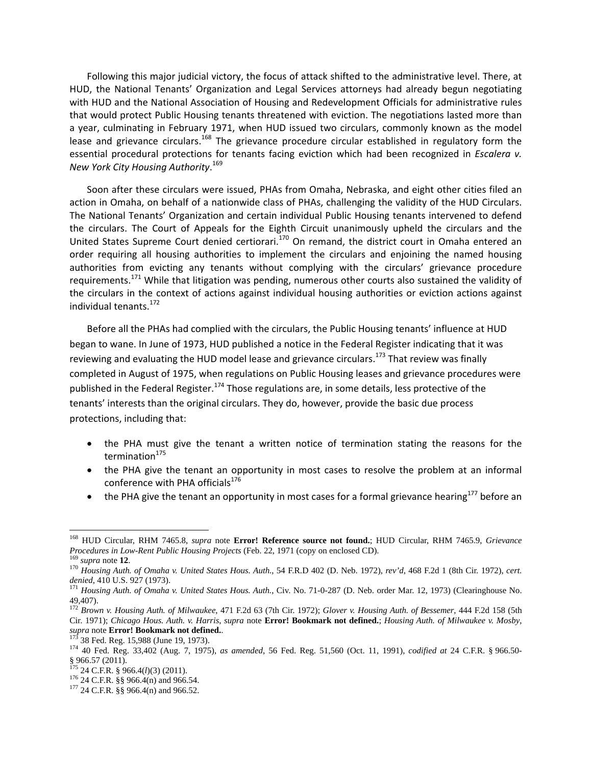Following this major judicial victory, the focus of attack shifted to the administrative level. There, at HUD, the National Tenants' Organization and Legal Services attorneys had already begun negotiating with HUD and the National Association of Housing and Redevelopment Officials for administrative rules that would protect Public Housing tenants threatened with eviction. The negotiations lasted more than a year, culminating in February 1971, when HUD issued two circulars, commonly known as the model lease and grievance circulars.<sup>168</sup> The grievance procedure circular established in regulatory form the essential procedural protections for tenants facing eviction which had been recognized in *Escalera v. New York City Housing Authority*. 169

Soon after these circulars were issued, PHAs from Omaha, Nebraska, and eight other cities filed an action in Omaha, on behalf of a nationwide class of PHAs, challenging the validity of the HUD Circulars. The National Tenants' Organization and certain individual Public Housing tenants intervened to defend the circulars. The Court of Appeals for the Eighth Circuit unanimously upheld the circulars and the United States Supreme Court denied certiorari.<sup>170</sup> On remand, the district court in Omaha entered an order requiring all housing authorities to implement the circulars and enjoining the named housing authorities from evicting any tenants without complying with the circulars' grievance procedure requirements.<sup>171</sup> While that litigation was pending, numerous other courts also sustained the validity of the circulars in the context of actions against individual housing authorities or eviction actions against individual tenants.<sup>172</sup>

Before all the PHAs had complied with the circulars, the Public Housing tenants' influence at HUD began to wane. In June of 1973, HUD published a notice in the Federal Register indicating that it was reviewing and evaluating the HUD model lease and grievance circulars.<sup>173</sup> That review was finally completed in August of 1975, when regulations on Public Housing leases and grievance procedures were published in the Federal Register.<sup>174</sup> Those regulations are, in some details, less protective of the tenants' interests than the original circulars. They do, however, provide the basic due process protections, including that:

- the PHA must give the tenant a written notice of termination stating the reasons for the termination $175$
- the PHA give the tenant an opportunity in most cases to resolve the problem at an informal conference with PHA officials<sup>176</sup>
- $\bullet$  the PHA give the tenant an opportunity in most cases for a formal grievance hearing<sup>177</sup> before an

<sup>168</sup> HUD Circular, RHM 7465.8, *supra* note **Error! Reference source not found.**; HUD Circular, RHM 7465.9, *Grievance Procedures in Low-Rent Public Housing Projects* (Feb. 22, 1971 (copy on enclosed CD).<br><sup>169</sup> supra note **12**.<br><sup>170</sup> Housing Auth. of Omaha v. United States Hous. Auth., 54 F.R.D 402 (D. Neb. 1972), rev'd, 468 F.2d 1 (8th C

*denied*, 410 U.S. 927 (1973).<br><sup>171</sup> Housing Auth. of Omaha v. United States Hous. Auth., Civ. No. 71-0-287 (D. Neb. order Mar. 12, 1973) (Clearinghouse No.

<sup>49,407).</sup> 

<sup>172</sup> *Brown v. Housing Auth. of Milwaukee*, 471 F.2d 63 (7th Cir. 1972); *Glover v. Housing Auth. of Bessemer*, 444 F.2d 158 (5th Cir. 1971); *Chicago Hous. Auth. v. Harris*, *supra* note **Error! Bookmark not defined.**; *Housing Auth. of Milwaukee v. Mosby*, supra note **Error! Bookmark not defined.**<br><sup>173</sup> 38 Fed. Reg. 15,988 (June 19, 1973).<br><sup>174</sup> 40 Fed. Reg. 33,402 (Aug. 7, 1975), as amended, 56 Fed. Reg. 51,560 (Oct. 11, 1991), codified at 24 C.F.R. § 966.50-

 $\frac{1}{5}$ ,  $\frac{1}{2011}$ ,  $\frac{1}{24}$  C.F.R. § 966.4(*l*)(3) (2011).

<sup>&</sup>lt;sup>176</sup> 24 C.F.R. §§ 966.4(n) and 966.54.<br><sup>177</sup> 24 C.F.R. §§ 966.4(n) and 966.52.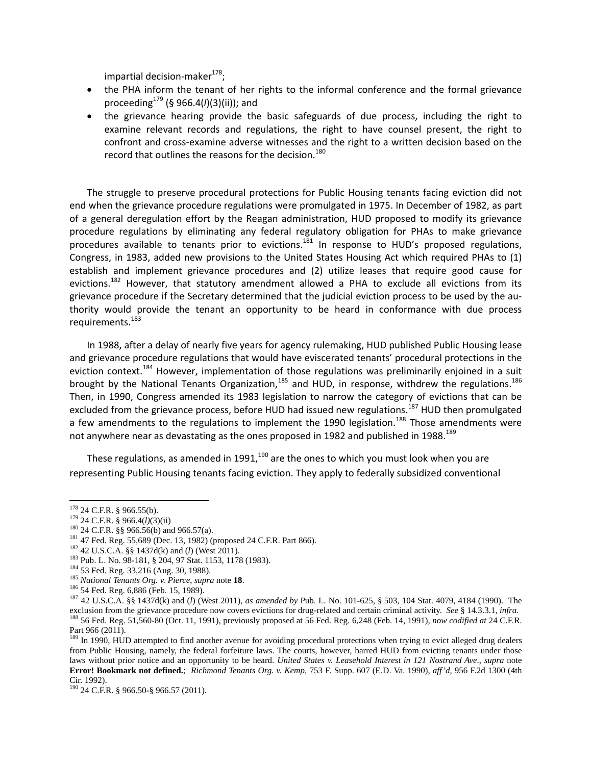impartial decision-maker<sup>178</sup>;

- the PHA inform the tenant of her rights to the informal conference and the formal grievance proceeding<sup>179</sup> (§ 966.4(*l*)(3)(ii)); and
- the grievance hearing provide the basic safeguards of due process, including the right to examine relevant records and regulations, the right to have counsel present, the right to confront and cross‐examine adverse witnesses and the right to a written decision based on the record that outlines the reasons for the decision.<sup>180</sup>

The struggle to preserve procedural protections for Public Housing tenants facing eviction did not end when the grievance procedure regulations were promulgated in 1975. In December of 1982, as part of a general deregulation effort by the Reagan administration, HUD proposed to modify its grievance procedure regulations by eliminating any federal regulatory obligation for PHAs to make grievance procedures available to tenants prior to evictions.<sup>181</sup> In response to HUD's proposed regulations, Congress, in 1983, added new provisions to the United States Housing Act which required PHAs to (1) establish and implement grievance procedures and (2) utilize leases that require good cause for evictions.<sup>182</sup> However, that statutory amendment allowed a PHA to exclude all evictions from its grievance procedure if the Secretary determined that the judicial eviction process to be used by the au‐ thority would provide the tenant an opportunity to be heard in conformance with due process requirements.<sup>183</sup>

In 1988, after a delay of nearly five years for agency rulemaking, HUD published Public Housing lease and grievance procedure regulations that would have eviscerated tenants' procedural protections in the eviction context.<sup>184</sup> However, implementation of those regulations was preliminarily enjoined in a suit brought by the National Tenants Organization,<sup>185</sup> and HUD, in response, withdrew the regulations.<sup>186</sup> Then, in 1990, Congress amended its 1983 legislation to narrow the category of evictions that can be excluded from the grievance process, before HUD had issued new regulations.<sup>187</sup> HUD then promulgated a few amendments to the regulations to implement the 1990 legislation.<sup>188</sup> Those amendments were not anywhere near as devastating as the ones proposed in 1982 and published in 1988.<sup>189</sup>

These regulations, as amended in 1991,  $190$  are the ones to which you must look when you are representing Public Housing tenants facing eviction. They apply to federally subsidized conventional

<sup>&</sup>lt;sup>178</sup> 24 C.F.R. § 966.55(b).

<sup>&</sup>lt;sup>179</sup> 24 C.F.R. § 966.4(*I*)(3)(ii)<br>
<sup>180</sup> 24 C.F.R. §§ 966.56(b) and 966.57(a).<br>
<sup>181</sup> 47 Fed. Reg. 55,689 (Dec. 13, 1982) (proposed 24 C.F.R. Part 866).<br>
<sup>182</sup> 42 U.S.C.A. §§ 1437d(k) and (*I*) (West 2011).<br>
<sup>183</sup> Pub. exclusion from the grievance procedure now covers evictions for drug-related and certain criminal activity. See § 14.3.3.1, infra.<br><sup>188</sup> 56 Fed. Reg. 51,560-80 (Oct. 11, 1991), previously proposed at 56 Fed. Reg. 6,248 (Fe Part 966 (2011).

 $189$  In 1990, HUD attempted to find another avenue for avoiding procedural protections when trying to evict alleged drug dealers from Public Housing, namely, the federal forfeiture laws. The courts, however, barred HUD from evicting tenants under those laws without prior notice and an opportunity to be heard. *United States v. Leasehold Interest in 121 Nostrand Ave*., *supra* note **Error! Bookmark not defined.**; *Richmond Tenants Org. v. Kemp*, 753 F. Supp. 607 (E.D. Va. 1990), *aff'd*, 956 F.2d 1300 (4th Cir. 1992).

<sup>190 24</sup> C.F.R. § 966.50-§ 966.57 (2011).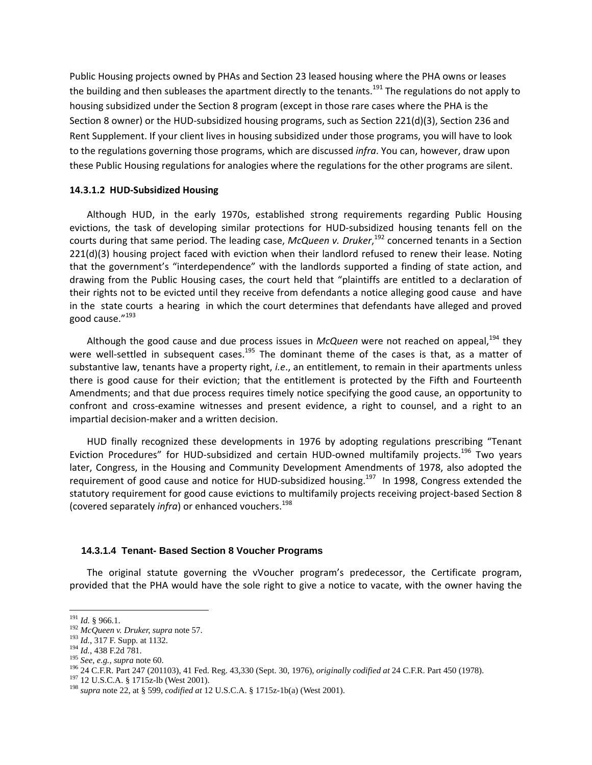Public Housing projects owned by PHAs and Section 23 leased housing where the PHA owns or leases the building and then subleases the apartment directly to the tenants.<sup>191</sup> The regulations do not apply to housing subsidized under the Section 8 program (except in those rare cases where the PHA is the Section 8 owner) or the HUD‐subsidized housing programs, such as Section 221(d)(3), Section 236 and Rent Supplement. If your client lives in housing subsidized under those programs, you will have to look to the regulations governing those programs, which are discussed *infra*. You can, however, draw upon these Public Housing regulations for analogies where the regulations for the other programs are silent.

## **14.3.1.2 HUD‐Subsidized Housing**

Although HUD, in the early 1970s, established strong requirements regarding Public Housing evictions, the task of developing similar protections for HUD-subsidized housing tenants fell on the courts during that same period. The leading case, *McQueen v. Druker*, <sup>192</sup> concerned tenants in a Section 221(d)(3) housing project faced with eviction when their landlord refused to renew their lease. Noting that the government's "interdependence" with the landlords supported a finding of state action, and drawing from the Public Housing cases, the court held that "plaintiffs are entitled to a declaration of their rights not to be evicted until they receive from defendants a notice alleging good cause and have in the state courts a hearing in which the court determines that defendants have alleged and proved good cause."<sup>193</sup>

Although the good cause and due process issues in *McQueen* were not reached on appeal,<sup>194</sup> they were well-settled in subsequent cases.<sup>195</sup> The dominant theme of the cases is that, as a matter of substantive law, tenants have a property right, *i.e*., an entitlement, to remain in their apartments unless there is good cause for their eviction; that the entitlement is protected by the Fifth and Fourteenth Amendments; and that due process requires timely notice specifying the good cause, an opportunity to confront and cross‐examine witnesses and present evidence, a right to counsel, and a right to an impartial decision‐maker and a written decision.

HUD finally recognized these developments in 1976 by adopting regulations prescribing "Tenant Eviction Procedures" for HUD-subsidized and certain HUD-owned multifamily projects.<sup>196</sup> Two years later, Congress, in the Housing and Community Development Amendments of 1978, also adopted the requirement of good cause and notice for HUD-subsidized housing.<sup>197</sup> In 1998, Congress extended the statutory requirement for good cause evictions to multifamily projects receiving project-based Section 8 (covered separately *infra*) or enhanced vouchers.<sup>198</sup>

## **14.3.1.4 Tenant- Based Section 8 Voucher Programs**

The original statute governing the vVoucher program's predecessor, the Certificate program, provided that the PHA would have the sole right to give a notice to vacate, with the owner having the

<sup>&</sup>lt;sup>191</sup> Id. § 966.1.<br><sup>192</sup> McQueen v. Druker, supra note 57.<br><sup>193</sup> Id., 317 F. Supp. at 1132.<br><sup>194</sup> Id., 438 F.2d 781.<br><sup>195</sup> See, e.g., supra note 60.<br><sup>196</sup> 24 C.F.R. Part 247 (201103), 41 Fed. Reg. 43,330 (Sept. 30, 1976),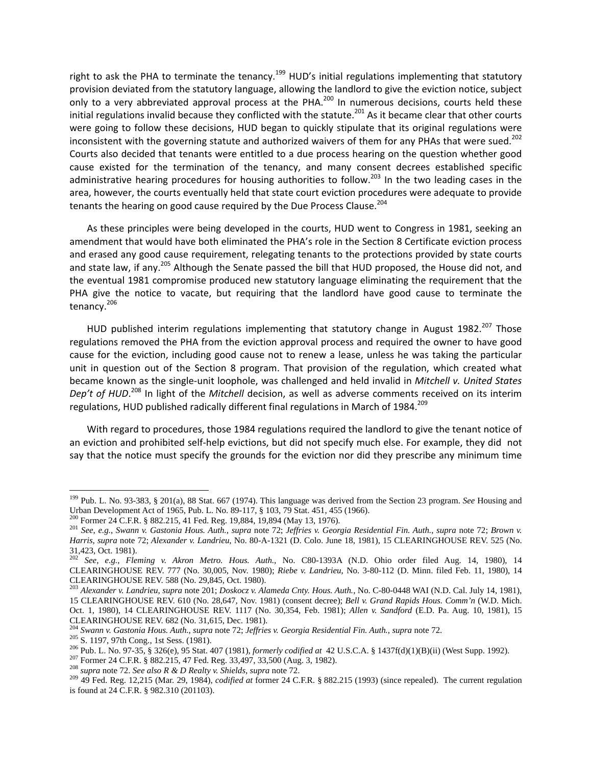right to ask the PHA to terminate the tenancy.<sup>199</sup> HUD's initial regulations implementing that statutory provision deviated from the statutory language, allowing the landlord to give the eviction notice, subject only to a very abbreviated approval process at the PHA.<sup>200</sup> In numerous decisions, courts held these initial regulations invalid because they conflicted with the statute.<sup>201</sup> As it became clear that other courts were going to follow these decisions, HUD began to quickly stipulate that its original regulations were inconsistent with the governing statute and authorized waivers of them for any PHAs that were sued.<sup>202</sup> Courts also decided that tenants were entitled to a due process hearing on the question whether good cause existed for the termination of the tenancy, and many consent decrees established specific administrative hearing procedures for housing authorities to follow.<sup>203</sup> In the two leading cases in the area, however, the courts eventually held that state court eviction procedures were adequate to provide tenants the hearing on good cause required by the Due Process Clause.<sup>204</sup>

As these principles were being developed in the courts, HUD went to Congress in 1981, seeking an amendment that would have both eliminated the PHA's role in the Section 8 Certificate eviction process and erased any good cause requirement, relegating tenants to the protections provided by state courts and state law, if any.<sup>205</sup> Although the Senate passed the bill that HUD proposed, the House did not, and the eventual 1981 compromise produced new statutory language eliminating the requirement that the PHA give the notice to vacate, but requiring that the landlord have good cause to terminate the tenancy.<sup>206</sup>

HUD published interim regulations implementing that statutory change in August 1982.<sup>207</sup> Those regulations removed the PHA from the eviction approval process and required the owner to have good cause for the eviction, including good cause not to renew a lease, unless he was taking the particular unit in question out of the Section 8 program. That provision of the regulation, which created what became known as the single‐unit loophole, was challenged and held invalid in *Mitchell v. United States Dep't of HUD*. <sup>208</sup> In light of the *Mitchell* decision, as well as adverse comments received on its interim regulations, HUD published radically different final regulations in March of 1984.<sup>209</sup>

With regard to procedures, those 1984 regulations required the landlord to give the tenant notice of an eviction and prohibited self‐help evictions, but did not specify much else. For example, they did not say that the notice must specify the grounds for the eviction nor did they prescribe any minimum time

<sup>199</sup> Pub. L. No. 93-383, § 201(a), 88 Stat. 667 (1974). This language was derived from the Section 23 program. *See* Housing and Urban Development Act of 1965, Pub. L. No. 89-117, § 103, 79 Stat. 451, 455 (1966).<br><sup>200</sup> Former 24 C.F.R. § 882.215, 41 Fed. Reg. 19,884, 19,894 (May 13, 1976).<br><sup>201</sup> See, e.g., Swann v. Gastonia Hous. Auth., supra note 7

*Harris*, *supra* note 72; *Alexander v. Landrieu*, No. 80-A-1321 (D. Colo. June 18, 1981), 15 CLEARINGHOUSE REV. 525 (No. 31,423, Oct. 1981).

<sup>202</sup> *See*, *e.g.*, *Fleming v. Akron Metro. Hous. Auth.*, No. C80-1393A (N.D. Ohio order filed Aug. 14, 1980), 14 CLEARINGHOUSE REV. 777 (No. 30,005, Nov. 1980); *Riebe v. Landrieu*, No. 3-80-112 (D. Minn. filed Feb. 11, 1980), 14 CLEARINGHOUSE REV. 588 (No. 29,845, Oct. 1980).

<sup>203</sup> *Alexander v. Landrieu*, *supra* note 201; *Doskocz v. Alameda Cnty. Hous. Auth.*, No. C-80-0448 WAI (N.D. Cal. July 14, 1981), 15 CLEARINGHOUSE REV. 610 (No. 28,647, Nov. 1981) (consent decree); *Bell v. Grand Rapids Hous. Comm'n* (W.D. Mich. Oct. 1, 1980), 14 CLEARINGHOUSE REV. 1117 (No. 30,354, Feb. 1981); *Allen v. Sandford* (E.D. Pa. Aug. 10, 1981), 15

CLEARINGHOUSE REV. 682 (No. 31,615, Dec. 1981).<br><sup>204</sup> Swann v. Gastonia Hous. Auth., supra note 72; Jeffries v. Georgia Residential Fin. Auth., supra note 72.

<sup>&</sup>lt;sup>205</sup> S. 1197, 97th Cong., 1st Sess. (1981).<br><sup>206</sup> Pub. L. No. 97-35, § 326(e), 95 Stat. 407 (1981), *formerly codified at* 42 U.S.C.A. § 1437f(d)(1)(B)(ii) (West Supp. 1992).<br><sup>207</sup> Former 24 C.F.R. § 882.215, 47 Fed. Reg

is found at 24 C.F.R. § 982.310 (201103).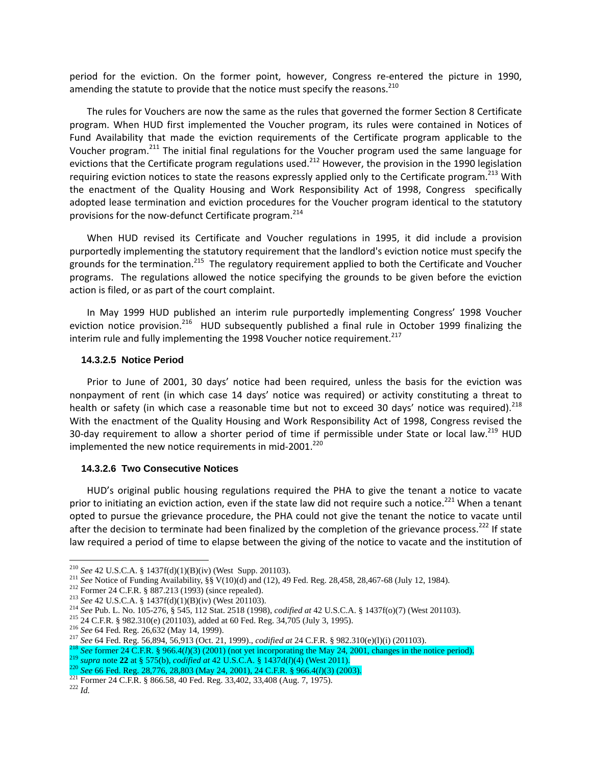period for the eviction. On the former point, however, Congress re-entered the picture in 1990, amending the statute to provide that the notice must specify the reasons.<sup>210</sup>

The rules for Vouchers are now the same as the rules that governed the former Section 8 Certificate program. When HUD first implemented the Voucher program, its rules were contained in Notices of Fund Availability that made the eviction requirements of the Certificate program applicable to the Voucher program.<sup>211</sup> The initial final regulations for the Voucher program used the same language for evictions that the Certificate program regulations used.<sup>212</sup> However, the provision in the 1990 legislation requiring eviction notices to state the reasons expressly applied only to the Certificate program.<sup>213</sup> With the enactment of the Quality Housing and Work Responsibility Act of 1998, Congress specifically adopted lease termination and eviction procedures for the Voucher program identical to the statutory provisions for the now-defunct Certificate program.<sup>214</sup>

When HUD revised its Certificate and Voucher regulations in 1995, it did include a provision purportedly implementing the statutory requirement that the landlord's eviction notice must specify the grounds for the termination.<sup>215</sup> The regulatory requirement applied to both the Certificate and Voucher programs. The regulations allowed the notice specifying the grounds to be given before the eviction action is filed, or as part of the court complaint.

In May 1999 HUD published an interim rule purportedly implementing Congress' 1998 Voucher eviction notice provision.<sup>216</sup> HUD subsequently published a final rule in October 1999 finalizing the interim rule and fully implementing the 1998 Voucher notice requirement. $^{217}$ 

#### **14.3.2.5 Notice Period**

Prior to June of 2001, 30 days' notice had been required, unless the basis for the eviction was nonpayment of rent (in which case 14 days' notice was required) or activity constituting a threat to health or safety (in which case a reasonable time but not to exceed 30 days' notice was required).<sup>218</sup> With the enactment of the Quality Housing and Work Responsibility Act of 1998, Congress revised the 30-day requirement to allow a shorter period of time if permissible under State or local law.<sup>219</sup> HUD implemented the new notice requirements in mid-2001.<sup>220</sup>

## **14.3.2.6 Two Consecutive Notices**

HUD's original public housing regulations required the PHA to give the tenant a notice to vacate prior to initiating an eviction action, even if the state law did not require such a notice.<sup>221</sup> When a tenant opted to pursue the grievance procedure, the PHA could not give the tenant the notice to vacate until after the decision to terminate had been finalized by the completion of the grievance process.<sup>222</sup> If state law required a period of time to elapse between the giving of the notice to vacate and the institution of

<sup>&</sup>lt;sup>210</sup> See 42 U.S.C.A. § 1437f(d)(1)(B)(iv) (West Supp. 201103).

<sup>&</sup>lt;sup>210</sup> See 42 U.S.C.A. § 1437f(d)(1)(B)(iv) (West Supp. 201103).<br><sup>211</sup> See Notice of Funding Availability, §§ V(10)(d) and (12), 49 Fed. Reg. 28,458, 28,467-68 (July 12, 1984).<br><sup>212</sup> Former 24 C.F.R. § 887.213 (1993) (sinc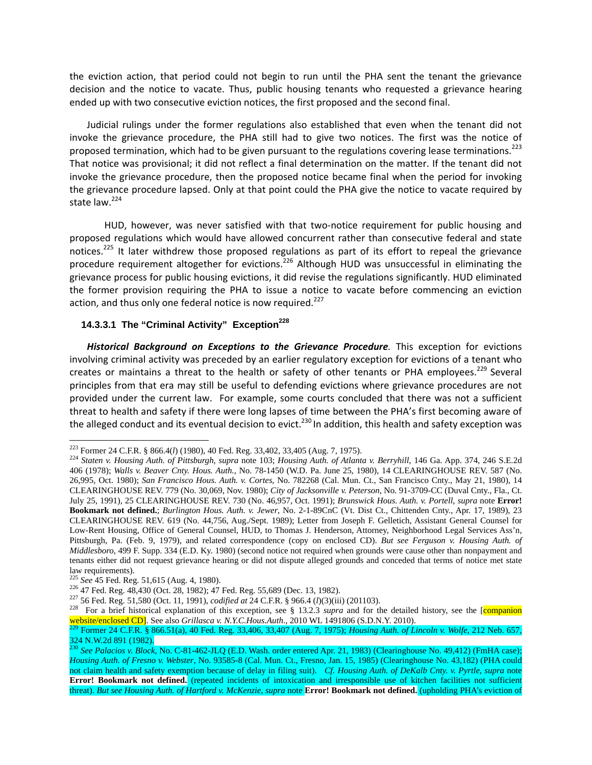the eviction action, that period could not begin to run until the PHA sent the tenant the grievance decision and the notice to vacate. Thus, public housing tenants who requested a grievance hearing ended up with two consecutive eviction notices, the first proposed and the second final.

Judicial rulings under the former regulations also established that even when the tenant did not invoke the grievance procedure, the PHA still had to give two notices. The first was the notice of proposed termination, which had to be given pursuant to the regulations covering lease terminations.<sup>223</sup> That notice was provisional; it did not reflect a final determination on the matter. If the tenant did not invoke the grievance procedure, then the proposed notice became final when the period for invoking the grievance procedure lapsed. Only at that point could the PHA give the notice to vacate required by state law.<sup>224</sup>

HUD, however, was never satisfied with that two-notice requirement for public housing and proposed regulations which would have allowed concurrent rather than consecutive federal and state notices.<sup>225</sup> It later withdrew those proposed regulations as part of its effort to repeal the grievance procedure requirement altogether for evictions.<sup>226</sup> Although HUD was unsuccessful in eliminating the grievance process for public housing evictions, it did revise the regulations significantly. HUD eliminated the former provision requiring the PHA to issue a notice to vacate before commencing an eviction action, and thus only one federal notice is now required.<sup>227</sup>

# 14.3.3.1 The "Criminal Activity" Exception<sup>228</sup>

*Historical Background on Exceptions to the Grievance Procedure.* This exception for evictions involving criminal activity was preceded by an earlier regulatory exception for evictions of a tenant who creates or maintains a threat to the health or safety of other tenants or PHA employees.<sup>229</sup> Several principles from that era may still be useful to defending evictions where grievance procedures are not provided under the current law. For example, some courts concluded that there was not a sufficient threat to health and safety if there were long lapses of time between the PHA's first becoming aware of the alleged conduct and its eventual decision to evict.<sup>230</sup> In addition, this health and safety exception was

<sup>&</sup>lt;sup>223</sup> Former 24 C.F.R. § 866.4(*l*) (1980), 40 Fed. Reg. 33,402, 33,405 (Aug. 7, 1975).

<sup>&</sup>lt;sup>224</sup> Staten v. Housing Auth. of Pittsburgh, supra note 103; Housing Auth. of Atlanta v. Berryhill, 146 Ga. App. 374, 246 S.E.2d 406 (1978); *Walls v. Beaver Cnty. Hous. Auth.*, No. 78-1450 (W.D. Pa. June 25, 1980), 14 CLEARINGHOUSE REV. 587 (No. 26,995, Oct. 1980); *San Francisco Hous. Auth. v. Cortes*, No. 782268 (Cal. Mun. Ct., San Francisco Cnty., May 21, 1980), 14 CLEARINGHOUSE REV. 779 (No. 30,069, Nov. 1980); *City of Jacksonville v. Peterson*, No. 91-3709-CC (Duval Cnty., Fla., Ct. July 25, 1991), 25 CLEARINGHOUSE REV. 730 (No. 46,957, Oct. 1991); *Brunswick Hous. Auth. v. Portell*, *supra* note **Error! Bookmark not defined.**; *Burlington Hous. Auth. v. Jewer*, No. 2-1-89CnC (Vt. Dist Ct., Chittenden Cnty., Apr. 17, 1989), 23 CLEARINGHOUSE REV. 619 (No. 44,756, Aug./Sept. 1989); Letter from Joseph F. Gelletich, Assistant General Counsel for Low-Rent Housing, Office of General Counsel, HUD, to Thomas J. Henderson, Attorney, Neighborhood Legal Services Ass'n, Pittsburgh, Pa. (Feb. 9, 1979), and related correspondence (copy on enclosed CD). *But see Ferguson v. Housing Auth. of Middlesboro*, 499 F. Supp. 334 (E.D. Ky. 1980) (second notice not required when grounds were cause other than nonpayment and tenants either did not request grievance hearing or did not dispute alleged grounds and conceded that terms of notice met state

law requirements).<br><sup>225</sup> See 45 Fed. Reg. 51,615 (Aug. 4, 1980).

<sup>&</sup>lt;sup>226</sup> 47 Fed. Reg. 48,430 (Oct. 28, 1982); 47 Fed. Reg. 55,689 (Dec. 13, 1982).<br><sup>227</sup> 56 Fed. Reg. 51,580 (Oct. 11, 1991), *codified at* 24 C.F.R. § 966.4 (*l*)(3)(iii) (201103).<br><sup>228</sup> For a brief historical explanation o

<sup>&</sup>lt;sup>229</sup> Former 24 C.F.R. § 866.51(a), 40 Fed. Reg. 33,406, 33,407 (Aug. 7, 1975); *Housing Auth. of Lincoln v. Wolfe*, 212 Neb. 657, 324 N.W.2d 891 (1982).

<sup>230</sup> *See Palacios v. Block*, No. C-81-462-JLQ (E.D. Wash. order entered Apr. 21, 1983) (Clearinghouse No. 49,412) (FmHA case); *Housing Auth. of Fresno v. Webster*, No. 93585-8 (Cal. Mun. Ct., Fresno, Jan. 15, 1985) (Clearinghouse No. 43,182) (PHA could not claim health and safety exemption because of delay in filing suit). *Cf. Housing Auth. of DeKalb Cnty. v. Pyrtle*, *supra* note **Error! Bookmark not defined.** (repeated incidents of intoxication and irresponsible use of kitchen facilities not sufficient threat). *But see Housing Auth. of Hartford v. McKenzie*, *supra* note **Error! Bookmark not defined.** (upholding PHA's eviction of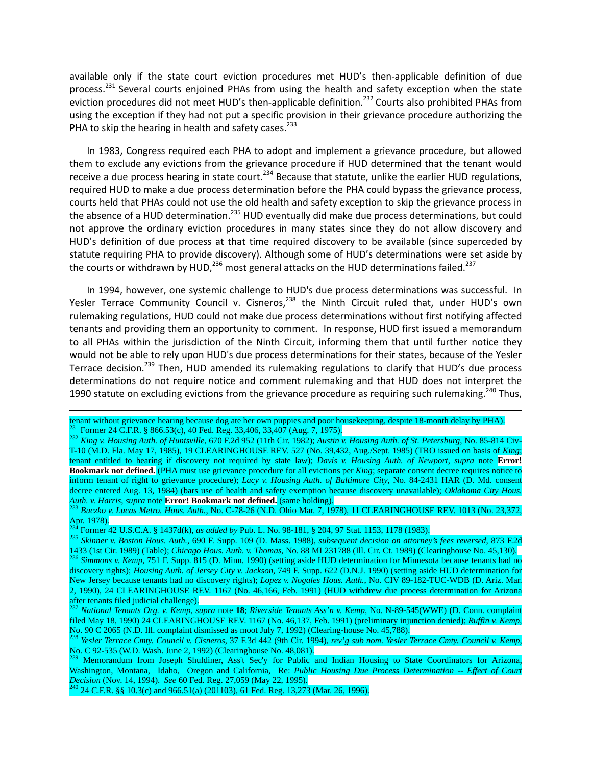available only if the state court eviction procedures met HUD's then-applicable definition of due process.<sup>231</sup> Several courts enjoined PHAs from using the health and safety exception when the state eviction procedures did not meet HUD's then-applicable definition.<sup>232</sup> Courts also prohibited PHAs from using the exception if they had not put a specific provision in their grievance procedure authorizing the PHA to skip the hearing in health and safety cases.<sup>233</sup>

In 1983, Congress required each PHA to adopt and implement a grievance procedure, but allowed them to exclude any evictions from the grievance procedure if HUD determined that the tenant would receive a due process hearing in state court.<sup>234</sup> Because that statute, unlike the earlier HUD regulations, required HUD to make a due process determination before the PHA could bypass the grievance process, courts held that PHAs could not use the old health and safety exception to skip the grievance process in the absence of a HUD determination.<sup>235</sup> HUD eventually did make due process determinations, but could not approve the ordinary eviction procedures in many states since they do not allow discovery and HUD's definition of due process at that time required discovery to be available (since superceded by statute requiring PHA to provide discovery). Although some of HUD's determinations were set aside by the courts or withdrawn by HUD,<sup>236</sup> most general attacks on the HUD determinations failed.<sup>237</sup>

In 1994, however, one systemic challenge to HUD's due process determinations was successful. In Yesler Terrace Community Council v. Cisneros,  $238$  the Ninth Circuit ruled that, under HUD's own rulemaking regulations, HUD could not make due process determinations without first notifying affected tenants and providing them an opportunity to comment. In response, HUD first issued a memorandum to all PHAs within the jurisdiction of the Ninth Circuit, informing them that until further notice they would not be able to rely upon HUD's due process determinations for their states, because of the Yesler Terrace decision.<sup>239</sup> Then, HUD amended its rulemaking regulations to clarify that HUD's due process determinations do not require notice and comment rulemaking and that HUD does not interpret the 1990 statute on excluding evictions from the grievance procedure as requiring such rulemaking.<sup>240</sup> Thus,

<u> 1989 - Johann Stoff, fransk politik (d. 1989)</u>

tenant without grievance hearing because dog ate her own puppies and poor housekeeping, despite 18-month delay by PHA).<br><sup>231</sup> Former 24 C.F.R. § 866.53(c), 40 Fed. Reg. 33,406, 33,407 (Aug. 7, 1975).<br><sup>232</sup> King v. Housing

T-10 (M.D. Fla. May 17, 1985), 19 CLEARINGHOUSE REV. 527 (No. 39,432, Aug./Sept. 1985) (TRO issued on basis of *King*; tenant entitled to hearing if discovery not required by state law); *Davis v. Housing Auth. of Newport*, *supra* note **Error! Bookmark not defined.** (PHA must use grievance procedure for all evictions per *King*; separate consent decree requires notice to inform tenant of right to grievance procedure); *Lacy v. Housing Auth. of Baltimore City*, No. 84-2431 HAR (D. Md. consent decree entered Aug. 13, 1984) (bars use of health and safety exemption because discovery unavailable); *Oklahoma City Hous.* 

*Auth. v. Harris*, *supra* note **Error! Bookmark not defined.** (same holding). 233 *Buczko v. Lucas Metro. Hous. Auth.*, No. C-78-26 (N.D. Ohio Mar. 7, 1978), 11 CLEARINGHOUSE REV. 1013 (No. 23,372, Apr. 1978).<br><sup>234</sup> Former 42 U.S.C.A. § 1437d(k), *as added by* Pub. L. No. 98-181, § 204, 97 Stat. 1153, 1178 (1983).

<sup>&</sup>lt;sup>235</sup> Skinner v. Boston Hous. Auth., 690 F. Supp. 109 (D. Mass. 1988), subsequent decision on attorney's fees reversed, 873 F.2d 1433 (1st Cir. 1989) (Table); *Chicago Hous. Auth. v. Thomas*, No. 88 MI 231788 (Ill. Cir. Ct. 1989) (Clearinghouse No. 45,130).<br><sup>236</sup> Simmons v. Kemp, 751 F. Supp. 815 (D. Minn. 1990) (setting aside HUD determination for

discovery rights); *Housing Auth. of Jersey City v. Jackson*, 749 F. Supp. 622 (D.N.J. 1990) (setting aside HUD determination for New Jersey because tenants had no discovery rights); *Lopez v. Nogales Hous. Auth.*, No. CIV 89-182-TUC-WDB (D. Ariz. Mar. 2, 1990), 24 CLEARINGHOUSE REV. 1167 (No. 46,166, Feb. 1991) (HUD withdrew due process determination for Arizona after tenants filed judicial challenge).<br><sup>237</sup> *National Tenants Org. v. Kemp, supra* note **18**; *Riverside Tenants Ass'n v. Kemp*, No. N-89-545(WWE) (D. Conn. complaint

filed May 18, 1990) 24 CLEARINGHOUSE REV. 1167 (No. 46,137, Feb. 1991) (preliminary injunction denied); *Ruffin v. Kemp*, No. 90 C 2065 (N.D. Ill. complaint dismissed as moot July 7, 1992) (Clearing-house No. 45,788).<br><sup>238</sup> Yesler Terrace Cmty. Council v. Cisneros, 37 F.3d 442 (9th Cir. 1994), rev'g sub nom. Yesler Terrace Cmty. Council v. Ke

No. C 92-535 (W.D. Wash. June 2, 1992) (Clearinghouse No. 48,081).

<sup>&</sup>lt;sup>239</sup> Memorandum from Joseph Shuldiner, Ass't Sec'y for Public and Indian Housing to State Coordinators for Arizona, Washington, Montana, Idaho, Oregon and California, Re: *Public Housing Due Process Determination -- Effect of Court Decision* (Nov. 14, 1994). *See* 60 Fed. Reg. 27,059 (May 22, 1995). <sup>240</sup> 24 C.F.R. §§ 10.3(c) and 966.51(a) (201103), 61 Fed. Reg. 13,273 (Mar. 26, 1996).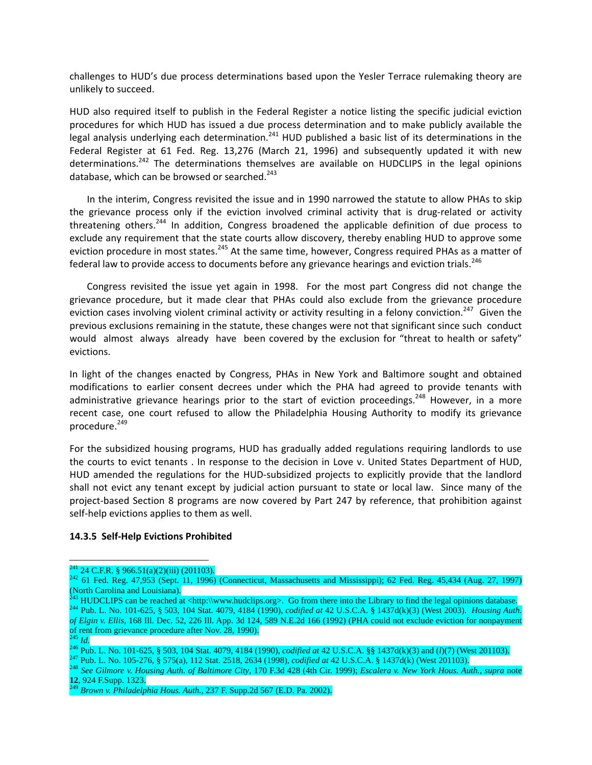challenges to HUD's due process determinations based upon the Yesler Terrace rulemaking theory are unlikely to succeed.

HUD also required itself to publish in the Federal Register a notice listing the specific judicial eviction procedures for which HUD has issued a due process determination and to make publicly available the legal analysis underlying each determination.<sup>241</sup> HUD published a basic list of its determinations in the Federal Register at 61 Fed. Reg. 13,276 (March 21, 1996) and subsequently updated it with new determinations.<sup>242</sup> The determinations themselves are available on HUDCLIPS in the legal opinions database, which can be browsed or searched.<sup>243</sup>

In the interim, Congress revisited the issue and in 1990 narrowed the statute to allow PHAs to skip the grievance process only if the eviction involved criminal activity that is drug-related or activity threatening others.<sup>244</sup> In addition, Congress broadened the applicable definition of due process to exclude any requirement that the state courts allow discovery, thereby enabling HUD to approve some eviction procedure in most states.<sup>245</sup> At the same time, however, Congress required PHAs as a matter of federal law to provide access to documents before any grievance hearings and eviction trials.<sup>246</sup>

Congress revisited the issue yet again in 1998. For the most part Congress did not change the grievance procedure, but it made clear that PHAs could also exclude from the grievance procedure eviction cases involving violent criminal activity or activity resulting in a felony conviction.<sup>247</sup> Given the previous exclusions remaining in the statute, these changes were not that significant since such conduct would almost always already have been covered by the exclusion for "threat to health or safety" evictions.

In light of the changes enacted by Congress, PHAs in New York and Baltimore sought and obtained modifications to earlier consent decrees under which the PHA had agreed to provide tenants with administrative grievance hearings prior to the start of eviction proceedings.<sup>248</sup> However, in a more recent case, one court refused to allow the Philadelphia Housing Authority to modify its grievance procedure.<sup>249</sup>

For the subsidized housing programs, HUD has gradually added regulations requiring landlords to use the courts to evict tenants . In response to the decision in Love v. United States Department of HUD, HUD amended the regulations for the HUD-subsidized projects to explicitly provide that the landlord shall not evict any tenant except by judicial action pursuant to state or local law. Since many of the project-based Section 8 programs are now covered by Part 247 by reference, that prohibition against self-help evictions applies to them as well.

## **14.3.5 Self‐Help Evictions Prohibited**

<sup>&</sup>lt;sup>241</sup> 24 C.F.R. § 966.51(a)(2)(iii) (201103).<br><sup>242</sup> 61 Fed. Reg. 47,953 (Sept. 11, 1996) (Connecticut, Massachusetts and Mississippi); 62 Fed. Reg. 45,434 (Aug. 27, 1997) (North Carolina and Louisiana).<br><sup>243</sup> HUDCLIPS can be reached at <http:\\www.hudclips.org>. Go from there into the Library to find the legal opinions database.

<sup>&</sup>lt;sup>244</sup> Pub. L. No. 101-625, § 503, 104 Stat. 4079, 4184 (1990), *codified at* 42 U.S.C.A. § 1437d(k)(3) (West 2003). *Housing Auth. of Elgin v. Ellis*, 168 Ill. Dec. 52, 226 Ill. App. 3d 124, 589 N.E.2d 166 (1992) (PHA could not exclude eviction for nonpayment of rent from grievance procedure after Nov. 28, 1990).<br><sup>245</sup> Id.<br><sup>246</sup> Pub. L. No. 101-625, § 503, 104 Stat. 4079, 4184 (1990), *codified at* 42 U.S.C.A. §§ 1437d(k)(3) and (I)(7) (West 201103).<br><sup>246</sup> Pub. L. No. 105-276,

**<sup>12</sup>**, 924 F.Supp. 1323. 249 *Brown v. Philadelphia Hous. Auth.*, 237 F. Supp.2d 567 (E.D. Pa. 2002).